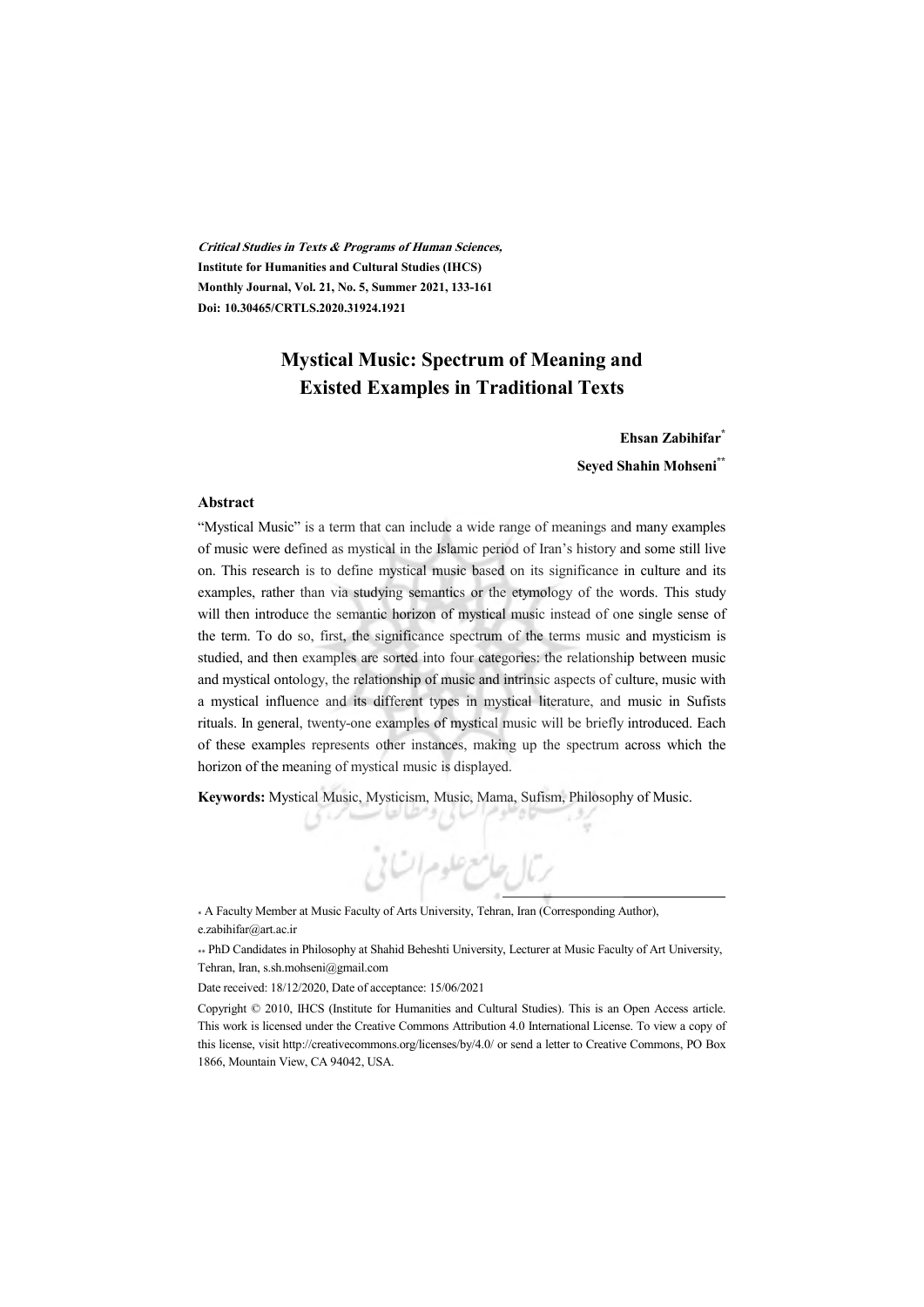**Critical Studies in Texts & Programs of Human Sciences, Institute for Humanities and Cultural Studies (IHCS) Monthly Journal, Vol. 21, No. 5, Summer 2021, 133-161 Doi: 10.30465/CRTLS.2020.31924.1921** 

## **Mystical Music: Spectrum of Meaning and Existed Examples in Traditional Texts**

**Ehsan Zabihifar\***

**Seyed Shahin Mohseni\*\***

#### **Abstract**

"Mystical Music" is a term that can include a wide range of meanings and many examples of music were defined as mystical in the Islamic period of Iran's history and some still live on. This research is to define mystical music based on its significance in culture and its examples, rather than via studying semantics or the etymology of the words. This study will then introduce the semantic horizon of mystical music instead of one single sense of the term. To do so, first, the significance spectrum of the terms music and mysticism is studied, and then examples are sorted into four categories: the relationship between music and mystical ontology, the relationship of music and intrinsic aspects of culture, music with a mystical influence and its different types in mystical literature, and music in Sufists rituals. In general, twenty-one examples of mystical music will be briefly introduced. Each of these examples represents other instances, making up the spectrum across which the horizon of the meaning of mystical music is displayed.

**Keywords:** Mystical Music, Mysticism, Music, Mama, Sufism, Philosophy of Music.

\* A Faculty Member at Music Faculty of Arts University, Tehran, Iran (Corresponding Author), e.zabihifar@art.ac.ir

\*\* PhD Candidates in Philosophy at Shahid Beheshti University, Lecturer at Music Faculty of Art University, Tehran, Iran, s.sh.mohseni@gmail.com

رمال حامع علوم اتنابى

Date received: 18/12/2020, Date of acceptance: 15/06/2021

Copyright © 2010, IHCS (Institute for Humanities and Cultural Studies). This is an Open Access article. This work is licensed under the Creative Commons Attribution 4.0 International License. To view a copy of this license, visit http://creativecommons.org/licenses/by/4.0/ or send a letter to Creative Commons, PO Box 1866, Mountain View, CA 94042, USA.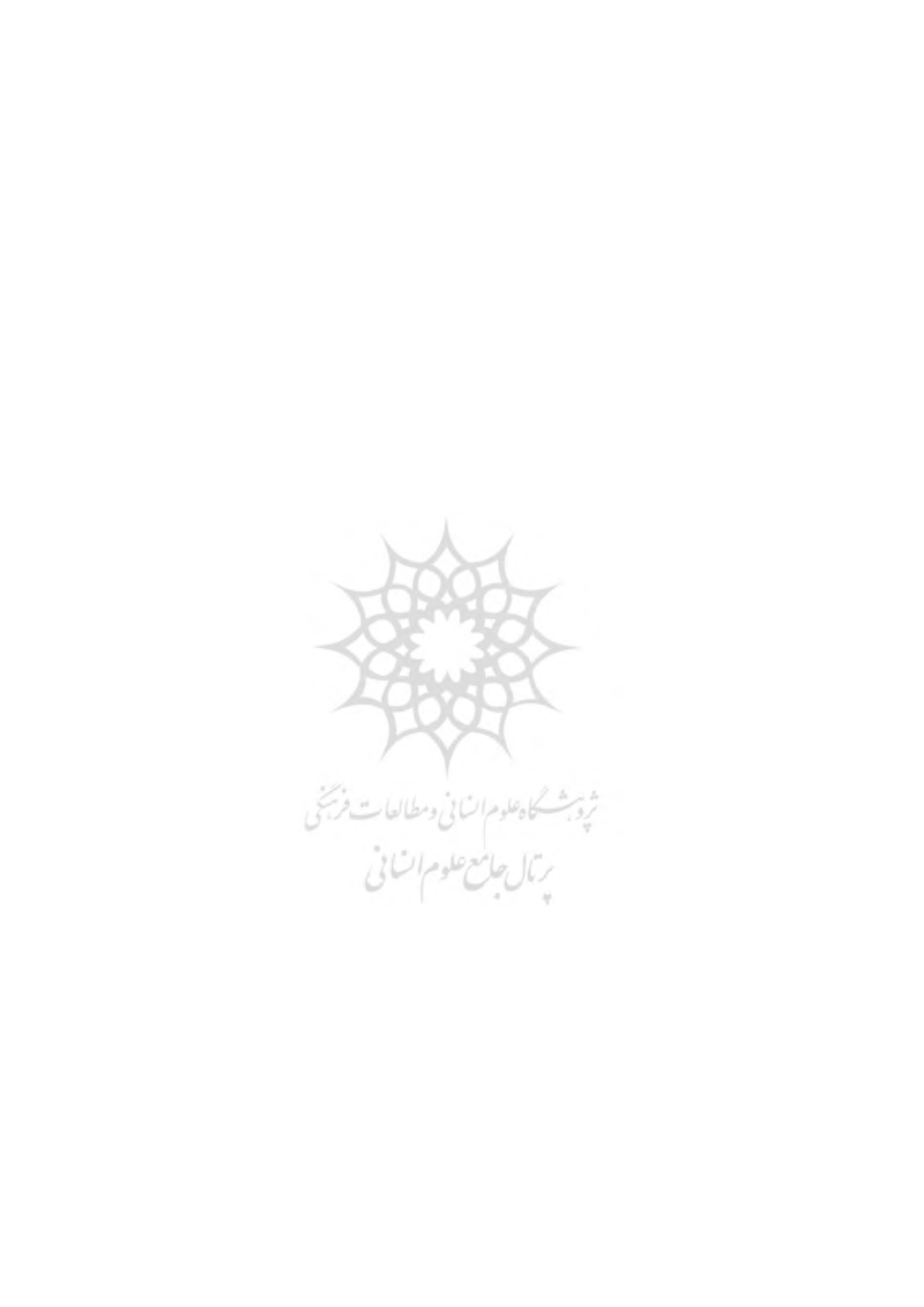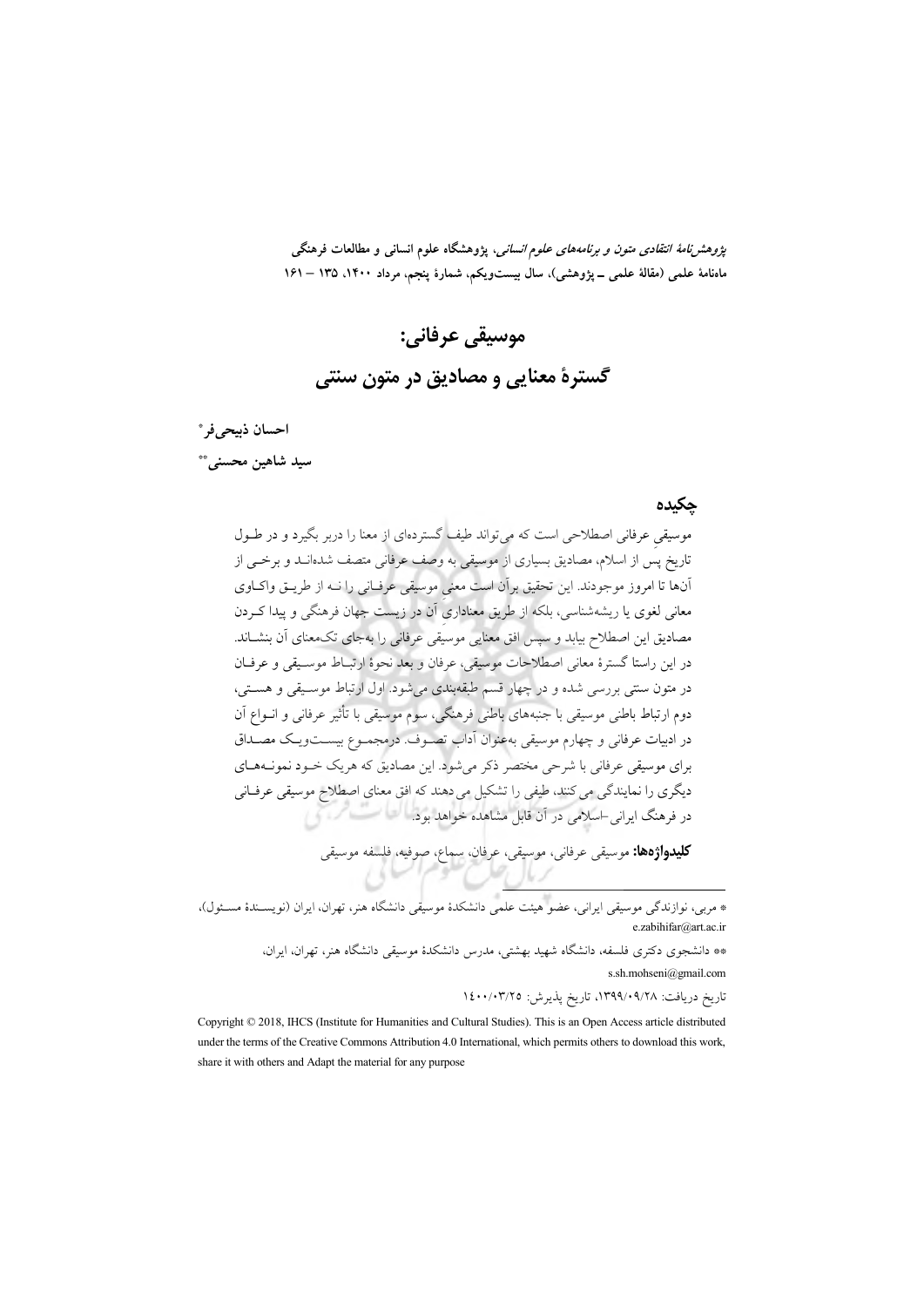*پژوهشنامهٔ انتقادی متون و برنامههای علوم انسانی*، پژوهشگاه علوم انسانی و مطالعات فرهنگی ماهنامهٔ علمی (مقالهٔ علمی ــ پژوهشی)، سال بیستویکم، شمارهٔ پنجم، مرداد ۱۴۰۰، ۱۳۵ – ۱۶۱

موسيقى عرفاني: گسترهٔ معنایی و مصادیق در متون سنتی

احسان ذبيحي فر \* سيد شاهين محسني.\*\*

#### حكىدە

موسیقی عرفانی اصطلاحی است که می تواند طیف گستردهای از معنا را دربر بگیرد و در طـول .<br>تاریخ پس از اسلام، مصادیق بسیاری از موسیقی به وصف عرفانی متصف شدهانــد و برخــی از آنها تا امروز موجودند. این تحقیق بر آن است معنی موسیقی عرفـانی را نــه از طریــق واکــاوی معانی لغوی یا ریشهشناسی، بلکه از طریق معناداری آن در زیست جهان فرهنگی و پیدا کـردن مصادیق این اصطلاح بیابد و سپس افق معنایی موسیَقی عرفانی را بهجای تکمعنای آن بنشــاند. در اين راستا گسترهٔ معاني اصطلاحات موسيقي، عرفان و بعد نحوهٔ ارتبـاط موسـيقي و عرفـان در متون سنتی بررسی شده و در چهار قسم طبقهبندی میشود. اول ارتباط موسـیقی و هسـتی، دوم ارتباط باطنی موسیقی با جنبههای باطنی فرهنگی، سوم موسیقی با تأثیر عرفانی و انــواع آن در ادبیات عرفانی و چهارم موسیقی بهعنوان اداب تصـوف. درمجمـوع بیســتویـک مصــداق برای موسیقی عرفانی با شرحی مختصر ذکر می شود. این مصادیق که هریک خـود نمونـههـای دیگری را نمایندگی می کنند، طیفی را تشکیل می دهند که افق معنای اصطلاح موسیقی عرفــانی در فرهنگ ایرانی-اسلامی در آن قابل مشاهده خواهد بود.

**كليدواژهها:** موسيقى عرفانى، موسيقى، عرفان، سماع، صوفيه، فلسفه موسيقى<br>.

\* مربی، نوازندگی موسیقی ایرانی، عضو هیئت علمی دانشکدهٔ موسیقی دانشگاه هنر، تهران، ایران (نویســندهٔ مســئول)، e.zabihifar@art.ac.ir

> \*\* دانشجوی دکتری فلسفه، دانشگاه شهید بهشتی، مدرس دانشکدهٔ موسیقی دانشگاه هنر، تهران، ایران، s.sh.mohseni@gmail.com

> > تاريخ دريافت: ١٣٩٩/٠٩/٢٨، تاريخ يذيرش: ١٤٠٠/٠٣/٢٥

Copyright © 2018, IHCS (Institute for Humanities and Cultural Studies). This is an Open Access article distributed under the terms of the Creative Commons Attribution 4.0 International, which permits others to download this work, share it with others and Adapt the material for any purpose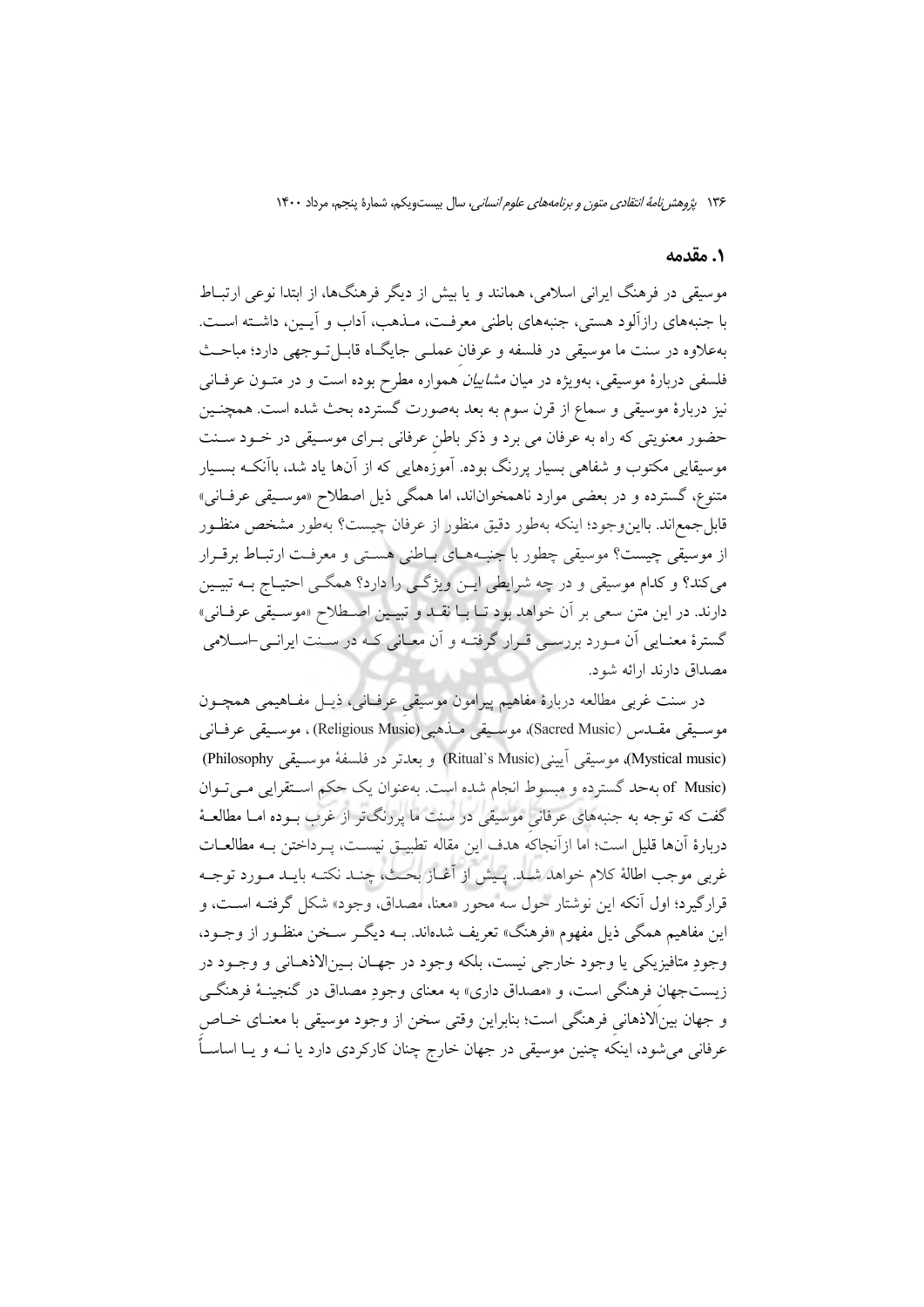#### ۰۱ مقدمه

موسیقی در فرهنگ ایرانی اسلامی، همانند و یا بیش از دیگر فرهنگها، از ابتدا نوعی ارتبـاط با جنبههای رازآلود هستی، جنبههای باطنی معرفت، مـذهب، آداب و آیـین، داشـته اسـت. بهعلاوه در سنت ما موسیقی در فلسفه و عرفان عملـی جایگـاه قابـل تـوجهی دارد؛ مباحـث فلسفی دربارهٔ موسیقی، بهویژه در میان *مشاییان* همواره مطرح بوده است و در متــون عرفــانـی نیز دربارهٔ موسیقی و سماع از قرن سوم به بعد بهصورت گسترده بحث شده است. همچنـین حضور معنویتی که راه به عرفان می برد و ذکر باطن عرفانی بـرای موسـیقی در خــود ســنت موسیقایی مکتوب و شفاهی بسیار پررنگ بوده. آموزههایی که از آنها یاد شد، باآنکــه بســیار متنوع، گسترده و در بعضی موارد ناهمخواناند، اما همگی ذیل اصطلاح «موسـیقی عرفـانی» قابل جمع اند. بااین وجود؛ اینکه بهطور دقیق منظور از عرفان چیست؟ بهطور مشخص منظـور از موسیقی چیست؟ موسیقی چطور با جنبههـای بـاطنی هسـتی و معرفـت ارتبـاط برقـرار میکند؟ و کدام موسیقی و در چه شرایطی ایـن ویژگـی را دارد؟ همگـی احتیـاج بــه تبیـین دارند. در این متن سعی بر آن خواهد بود تــا بــا نقــد و تبیــین اصــطلاح «موســیقی عرفــانی» گسترهٔ معنـایی آن مـورد بررسـی قـرار گرفتـه و آن معـانی کـه در سـنت ایرانـی-اسـلامی مصداق دارند ارائه شود.

در سنت غربی مطالعه دربارهٔ مفاهیم پیرامون موسیقی عرفـانی، ذیـل مفـاهیمی همچـون موسـيقى مقــدس (Sacred Music)، موسـيقى مــذهبي(Religious Music) ، موسـيقى عرفــاني (Mystical music)، موسيقى آييني (Ritual`s Music) و بعدتر در فلسفهٔ موسـيقى Philosophy) of Music) به حد گسترده و مبسوط انجام شده است. به عنوان یک حکم استقرایی می توان گفت که توجه به جنبههای عرفانی موسیقی در سنت ما پررنگتر از غرب بــوده امــا مطالعــهٔ دربارهٔ آنها قلیل است؛ اما ازآنجاکه هدف این مقاله تطبیـق نیسـت، پـرداختن بـه مطالعـات غربي موجب اطالهٔ كلام خواهد شـد. پـیش از آغـاز بحـث، چنـد نکتـه بایـد مـورد توجـه قرارگیرد؛ اول آنکه این نوشتار حول سه محور «معنا، مصداق، وجود» شکل گرفتـه اسـت، و این مفاهیم همگی ذیل مفهوم «فرهنگ» تعریف شدهاند. بــه دیگــر ســخن منظــور از وجــود، وجود متافيزيكي يا وجود خارجي نيست، بلكه وجود در جهـان پـين|لاذهـاني و وجـود در زیستجهان فرهنگی است، و «مصداق داری» به معنای وجودِ مصداق در گنجینـهٔ فرهنگـی و جهان بیناًلاذهانی فرهنگی است؛ بنابراین وقتی سخن از وجود موسیقی با معنـای خــاص عرفانی می شود، اینکَه چنین موسیقی در جهان خارج چنان کارکردی دارد یا نــه و یــا اساســاً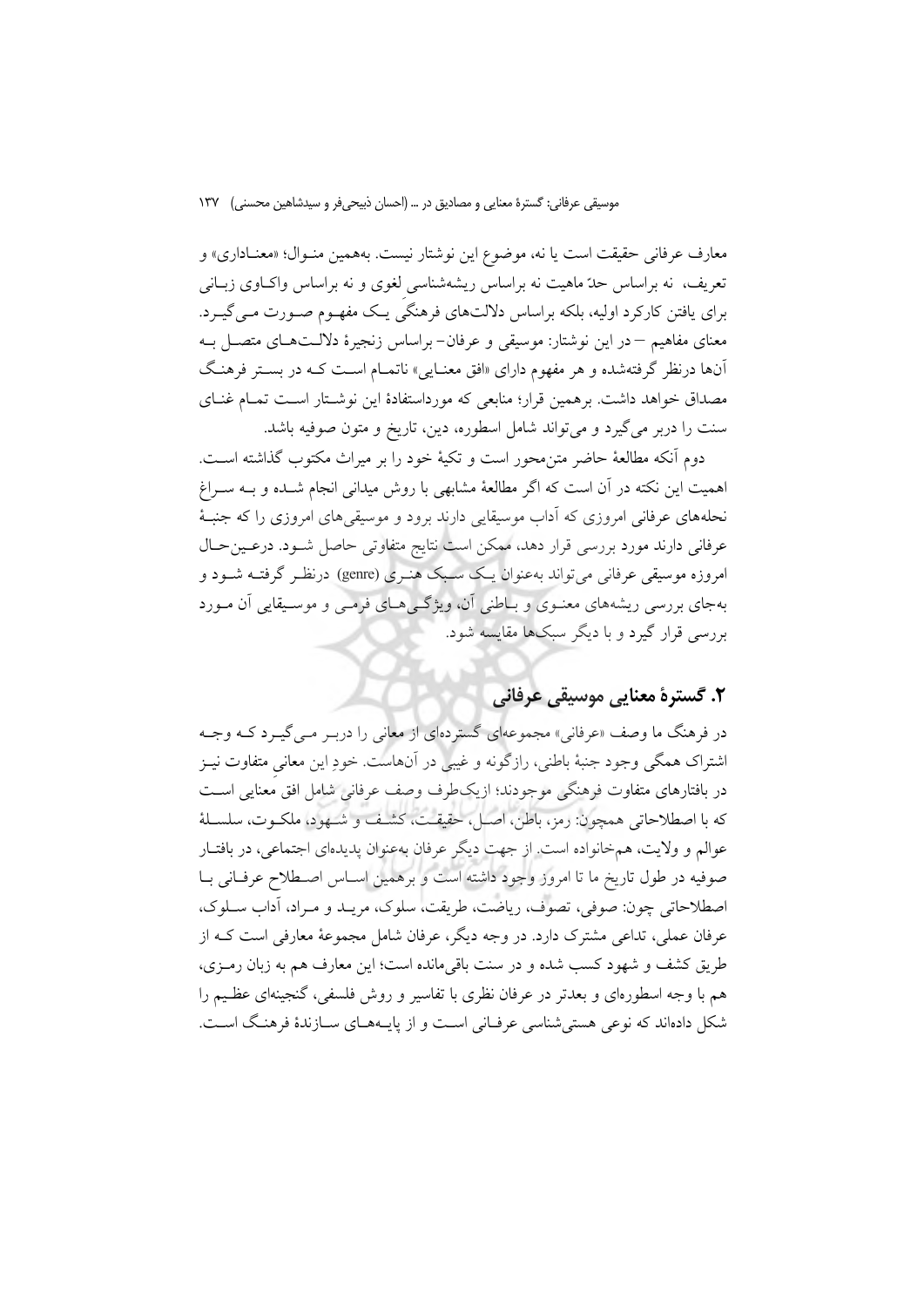موسيقى عرفاني: گسترة معنايي و مصاديق در … (احسان ذبيحي فر و سيدشاهين محسني) ١٣٧

معارف عرفاني حقيقت است يا نه، موضوع اين نوشتار نيست. بههمين منـوال؛ «معنـاداري» و تعریف، نه براساس حدّ ماهیت نه براساس ریشهشناسی لغوی و نه براساس واکباوی زببانی برای یافتن کارکرد اولیه، بلکه براساس دلالتهای فرهنگی یک مفهـوم صـورت مـی&یـرد. معنای مفاهیم –در این نوشتار: موسیقی و عرفان–براساس زنجیرهٔ دلالـتهـای متصـل بـه آنها درنظر گرفتهشده و هر مفهوم دارای «افق معنـایی» ناتمـام اسـت کـه در بسـتر فرهنـگ مصداق خواهد داشت. برهمین قرار؛ منابعی که مورداستفادهٔ این نوشـتار اسـت تمـام غنـای سنت را دربر می گیرد و می تواند شامل اسطوره، دین، تاریخ و متون صوفیه باشد.

دوم أنكه مطالعهٔ حاضر متن محور است و تكيهٔ خود را بر ميراث مكتوب گذاشته اسـت. اهمیت این نکته در آن است که اگر مطالعهٔ مشابهی با روش میدانی انجام شـده و بــه ســراغ نحلههای عرفانی امروزی که اَداب موسیقایی دارېد برود و موسیقیهای امروزی را که جنبـهٔ عرفانی دارند مورد بررسی قرار دهد، ممکن است نتایج متفاوتی حاصل شـود. درعـینحـال امروزه موسیقی عرفانی می تواند بهعنوان یک سبک هنری (genre) درنظر گرفتـه شـود و بهجای بررسی ریشههای معنـوی و بـاطنی آن، ویژگـی۵حـای فرمـی و موسـیقایی آن مـورد بررسی قرار گیرد و با دیگر سبکها مقایسه شود.

## ٢. گسترهٔ معنایی موسیقی عرفانی

در فرهنگ ما وصف «عرفانی» مجموعهای گستردهای از معانی را دربـر مـی&یـرد کـه وجـه اشتراک همگی وجود جنبهٔ باطنی، رازگونه و غیبی در آنهاست. خودِ این معانی متفاوت نیـز در بافتارهای متفاوت فرهنگی موجودند؛ ازیکطرف وصف عرفانی شامل افق معنایی است كه با اصطلاحاتي همچون: رمز، باطن، اصـل، حقيقـت، كشـف و شـهود، ملكـوت، سلسـلهٔ عوالم و ولايت، همخانواده است. از جهت ديگر عرفان بهعنوان پديدهاي اجتماعي، در بافتـار صوفیه در طول تاریخ ما تا امروز وجود داشته است و برهمین اســاس اصــطلاح عرفــانی بــا اصطلاحاتي چون: صوفي، تصوف، رياضت، طريقت، سلوك، مريـد و مـراد، آداب سـلوك، عرفان عملی، تداعی مشترک دارد. در وجه دیگر، عرفان شامل مجموعهٔ معارفی است کـه از طريق كشف و شهود كسب شده و در سنت باقي مانده است؛ اين معارف هم به زبان رمـزي، هم با وجه اسطورهای و بعدتر در عرفان نظری با تفاسیر و روش فلسفی، گنجینهای عظـیم را شکل دادهاند که نوعی هستی شناسی عرفانی است و از پایـههـای سـازندهٔ فرهنـگ اسـت.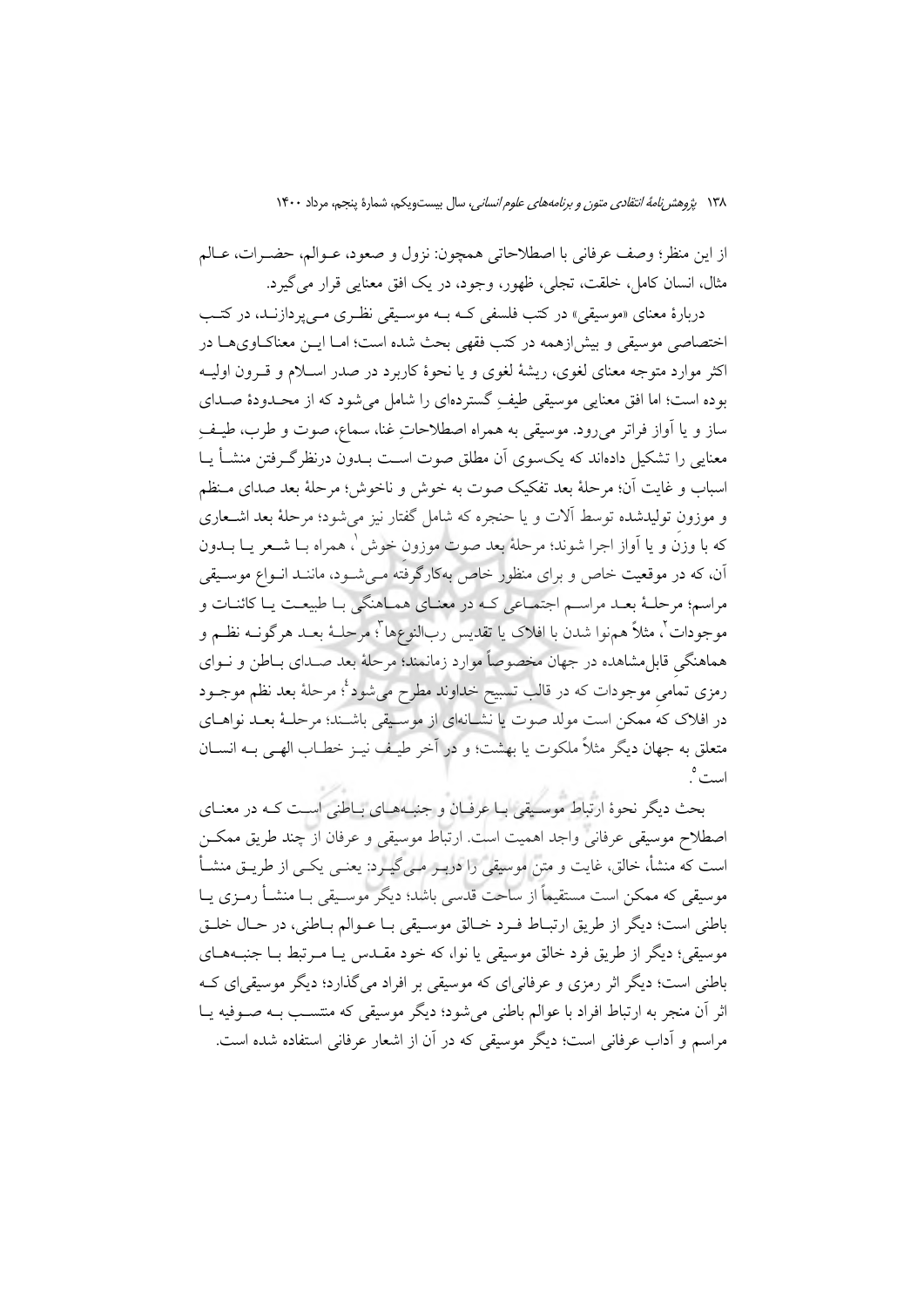از اين منظر؛ وصف عرفاني با اصطلاحاتي همچون: نزول و صعود، عــوالم، حضــرات، عــالم مثال، انسان کامل، خلقت، تجلَّى، ظهور، وجود، در یک افق معنایی قرار می گیرد.

دربارهٔ معنای «موسیقی» در کتب فلسفی کـه بــه موسـیقی نظـری مــی پردازنــد، در کتــب اختصاصی موسیقی و پیش ازهمه در کتب فقهی بحث شده است؛ امبا ایـن معناکباویهبا در اکثر موارد متوجه معنای لغوی، ریشهٔ لغوی و یا نحوهٔ کاربرد در صدر اسـلام و قــرون اولیــه بوده است؛ اما افق معنایی موسیقی طیفِ گستردهای را شامل می شود که از محـدودهٔ صـدای ساز و يا اَواز فراتر مىرود. موسيقى به همراه اصطلاحاتِ غنا، سماع، صوت و طرب، طيـف معنایی را تشکیل دادهاند که یکسوی آن مطلق صوت است بــدون درنظر گــرفتن منشــأ یــا اسباب و غايت آن؛ مرحلهٔ بعد تفکيک صوت به خوش و ناخوش؛ مرحلهٔ بعد صدای مـنظم و موزون تولیدشده توسط آلات و یا حنجره که شامل گفتار نیز می شود؛ مرحلهٔ بعد اشــعاری كه با وزن و يا آواز اجرا شوند؛ مرحلهٔ بعد صوت موزون خوش ْ، همراه بــا شــعر يــا بــدون آن، که در موقعیت خاص و برای منظور خاص بهکارگرفته مـیشـود، ماننـد انـواع موسـیقی مراسم؛ مرحلـهٔ بعـد مراسـم اجتمـاعي كـه در معنـاي همـاهنگي بـا طبيعـت يـا كائنـات و موجودات'. مثلاً همهنوا شدن با افلاک یا تقدیس ربالنوعها ؓ؛ مرحلـهٔ بعـد هرگونــه نظــم و هماهنگی قابل مشاهده در جهان مخصوصاً موارد زمانمند؛ مرحلهٔ بعد صـدای بـاطن و نــوای رمزی تمامی موجودات که در قالب تسبیح خداوند مطرح میشود ٔ؛ مرحلهٔ بعد نظم موجــود در افلاک که ممکن است مولد صوت یا نشـانهای از موسـیقی باشـند؛ مرحلـهٔ بعـد نواهـای متعلق به جهان ديگر مثلاً ملكوت يا بهشت؛ و در آخر طيـف نيـز خطــاب الهـي بــه انســان است °.

بحث دیگر نحوهٔ ارتباط موسیقی با عرفان و جنبههای باطنی است که در معنای اصطلاح موسيقى عرفاني واجد اهميت است. ارتباط موسيقى و عرفان از چند طريق ممكـن است که منشأ، خالق، غایت و متن موسیقی را دربـر مـیگیـرد: یعنـی یکـی از طریــق منشــأ موسیقی که ممکن است مستقیماً از ساحت قدسی باشد؛ دیگر موسـیقی بـا منشــأ رمـزی یــا باطني است؛ ديگر از طريق ارتبــاط فــرد خــالق موســيقى بــا عــوالـم بــاطني، در حــال خلــق موسیقی؛ دیگر از طریق فرد خالق موسیقی یا نوا، که خود مقــدس یــا مــرتبط بــا جنبــههــای باطنې است؛ دیگر اثر رمزې و عرفانې اې که موسیقې بر افراد مې گذارد؛ دیگر موسیقې اې کـه اثر آن منجر به ارتباط افراد با عوالم باطني مي شود؛ ديگر موسيقى كه منتسب بـه صـوفيه يــا مراسم و آداب عرفانی است؛ دیگر موسیقی که در آن از اشعار عرفانی استفاده شده است.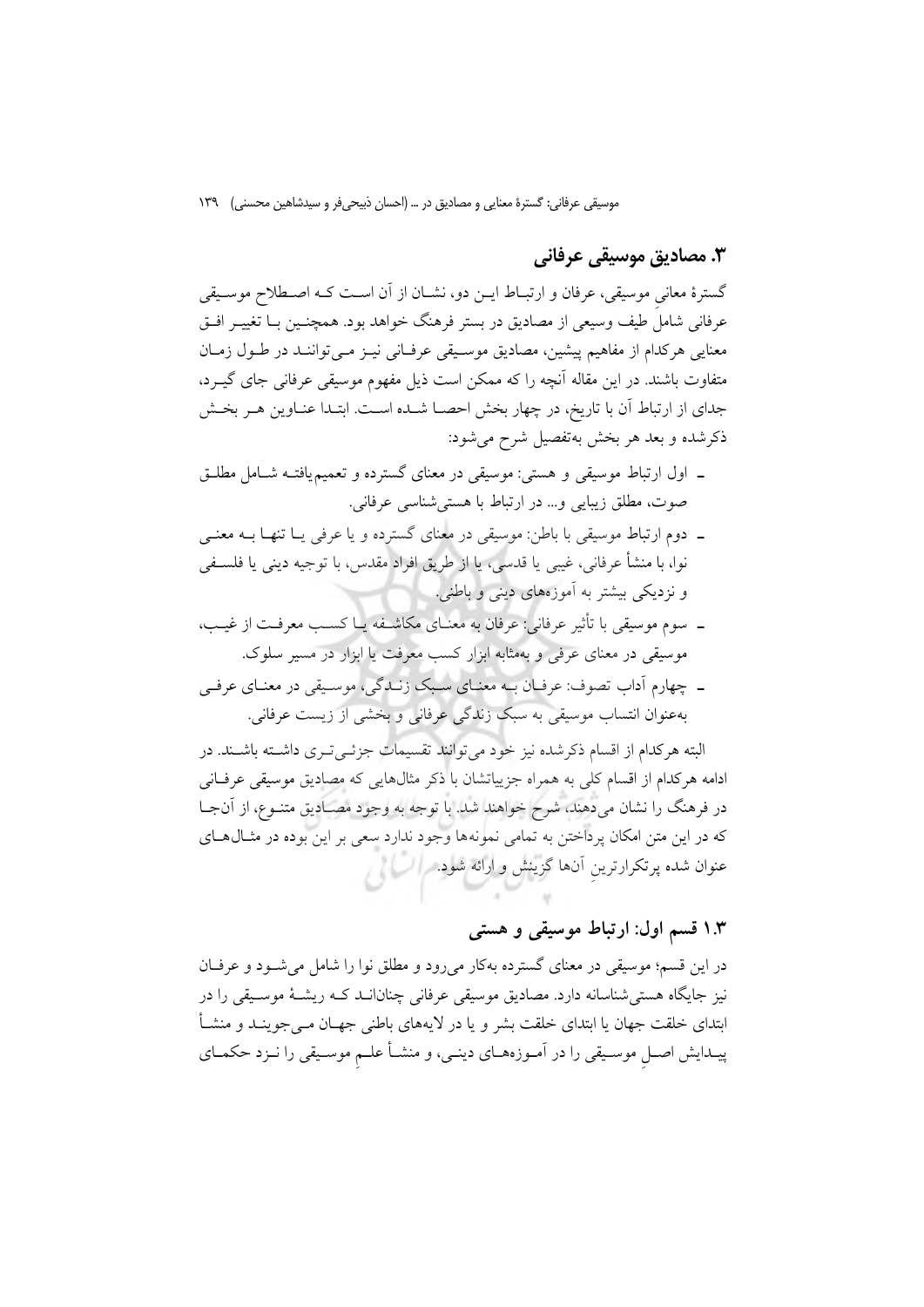موسيقى عرفاني: گسترة معنايي و مصاديق در … (احسان ذبيحي فر و سيدشاهين محسني) ١٣٩

#### ٣. مصاديق موسيقى عرفاني

گسترهٔ معانی موسیقی، عرفان و ارتبـاط ایــن دو، نشــان از آن اســت کــه اصــطلاح موســیقی عرفانی شامل طیف وسیعی از مصادیق در بستر فرهنگ خواهد بود. همچنــین بــا تغییــر افــق معنایی هرکدام از مفاهیم پیشین، مصادیق موسـیقی عرفـانی نیـز مــی تواننــد در طــول زمــان متفاوت باشند. در این مقاله آنچه را که ممکن است ذیل مفهوم موسیقی عرفانی جای گیــرد، جدای از ارتباط آن با تاریخ، در چهار بخش احصـا شـده اسـت. ابتـدا عنـاوین هـر بخـش ذکرشده و بعد هر بخش بهتفصیل شرح می شود:

- ـ اول ارتباط موسیقی و هستی: موسیقی در معنای گسترده و تعمیم یافتـه شــامل مطلــق صوت، مطلق زيبايي و… در ارتباط با هستي شناسي عرفاني.
- ۔ دوم ارتباط موسیقی با باطن: موسیقی در معنای گسترده و یا عرفی پــا تنهــا بــه معنــی نوا، با منشأ عرفانی، غیبی یا قدسی، یا از طریق افراد مقدس، با توجیه دینی یا فلســفی و نزدیکی بیشتر به آموزههای دینی و باطنی.
- ـ سوم موسیقی با تأثیر عرفانی: عرفان به معنـای مکاشـفه پـا کسـب معرفـت از غیـب، موسیقی در معنای عرفی و بهمثابه ابزار کسب معرفت یا ابزار در مسیر سلوک.
- ـ چهارم آداب تصوف: عرفـان بـه معنـاي سـبک زنـدگي، موسـيقي در معنـاي عرفـي بهعنوان انتساب موسیقی به سبک زندگی عرفانی و بخشی از زیست عرفانی.

البته هرکدام از اقسام ذکرشده نیز خود می توانند تقسیمات جزئے تـری داشــته باشــند. در ادامه هرکدام از اقسام کلی به همراه جزییاتشان با ذکر مثالهایی که مصادیق موسیقی عرفانی در فرهنگ را نشان میدهند، شرح خواهند شد. با توجه به وجود مصـادیق متنـوع، از آنجـا که در این متن امکان پرداختن به تمامی نمونهها وجود ندارد سعی بر این بوده در مثـال۱صای عنوان شده پرتکرارترین آنها گزینش و ارائه شود. | اس| ا

# ۱.۳ قسم اول: ارتباط موسیقی و هستی

در این قسم؛ موسیقی در معنای گسترده بهکار میرود و مطلق نوا را شامل می شـود و عرفـان نیز جایگاه هستے شناسانه دارد. مصادیق موسیقی عرفانی چنانانــد کــه ریشــهٔ موســیقی را در ابتدای خلقت جهان یا ابتدای خلقت بشر و یا در لایههای باطنی جهـان مـیجوینـد و منشـأ پیـدایش اصـل موسـیقی را در آمـوزههـای دینـی، و منشـأ علـم موسـیقی را نـزد حکمـای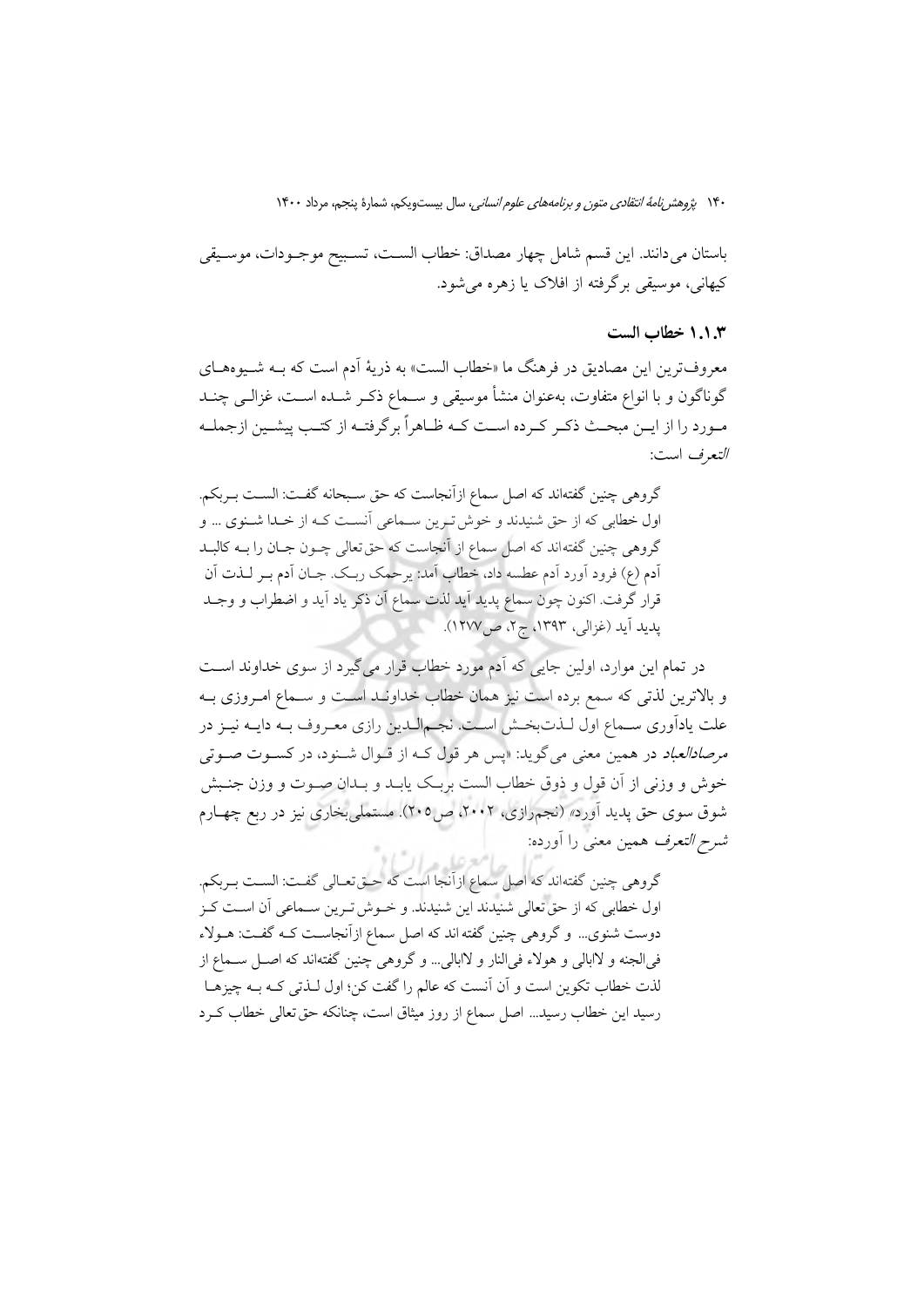باستان مي دانند. اين قسم شامل چهار مصداق: خطاب الست، تسـبيح موجـودات، موسـيقى کبھانی، موسیقی پر گرفته از افلاک یا زهره می شود.

#### ١.١.٣ خطاب الست

معروفترین این مصادیق در فرهنگ ما «خطاب الست» به ذریهٔ آدم است که بــه شــیوههــای گوناگون و با انواع متفاوت، بهعنوان منشأ موسیقی و ســماع ذکـر شــده اسـت، غزالــی چنــد مـورد را از ايــن مبحــث ذكـر كـرده اســت كــه ظــاهراً برگرفتــه از كتــب ييشــين ازجملــه التعرف است:

گروهی چنین گفتهاند که اصل سماع ازآنجاست که حق سـبحانه گفـت: السـت بـربکم. اول خطابي كه از حق شنيدند و خوش تـرين سـماعي آنسـت كـه از خـدا شـنوى ... و گروهی چنین گفته اند که اصل سماع از آنجاست که حق تعالی چـون جـان را بــه کالبــد آدم (ع) فرود آورد آدم عطسه داد، خطاب آمد: پرحمک ربـک. جـان آدم بـر لـذت آن قرار گرفت. اکنون چون سماع پدید آید لذت سماع آن ذکر یاد آید و اضطراب و وجـد يديد آيد (غزالي، ١٣٩٣، ج٢، ص١٢٧٧).

در تمام این موارد، اولین جایی که اَدم مورد خطاب قرار میگیرد از سوی خداوند اسـت و بالاترین لذتی که سمع برده است نیز همان خطاب خداونـد اسـت و سـماع امـروزی بـه علت يادآوري سـماع اول لـذتبخـش اسـت. نجـمالـدين رازي معـروف بـه دايـه نيـز در مرص*ادالعباد* در همین معنی می گوید: «پس هر قول کـه از قــوال شــنود، در کســوت صــوتی خوش و وزنی از آن قول و ذوق خطاب الست بربک یابـد و بـدان صـوت و وزن جنـبش شوق سوی حق یدید آورد» (نجمرازی، ۲۰۰۲، ص۲۰۵). مستملی بخاری نیز در ربع چهـارم شرح التعرف همين معنى را أورده:

گروهي چنين گفتهاند كه اصل سماع ازآنجا است كه حـقتعـالي گفـت: السـت بـربكم. اول خطابي كه از حق تعالى شنيدند اين شنيدند. و خــوش تــرين ســماعي آن اســت كــز دوست شنوي... و گروهي چنين گفته اند كه اصل سماع ازآنجاسـت كـه گفـت: هـولاء في الجنه و لاابالي و هولاء في النار و لاابالي… و گروهي چنين گفتهاند كه اصـل سـماع از لذت خطاب تكوين است و أن أنست كه عالم را گفت كن؛ اول لـذتى كـه بـه چيزهـا رسید این خطاب رسید... اصل سماع از روز میثاق است، چنانکه حق تعالی خطاب کـرد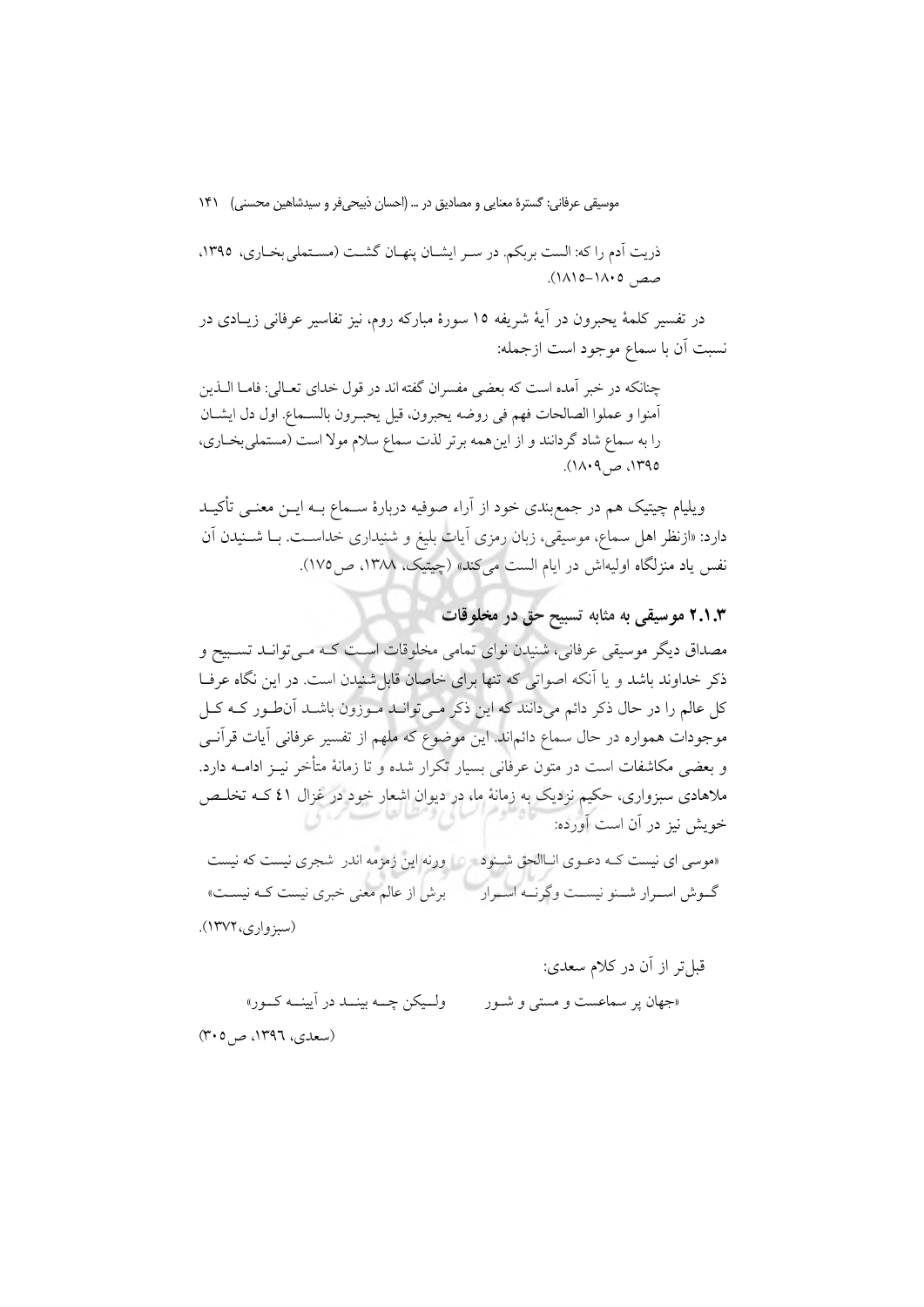موسيقى عرفاني: گسترة معنايي و مصاديق در … (احسان ذبيحي فر و سيدشاهين محسني) ١۴١

ذريت آدم را كه: الست بريكم. در سـر ايشــان ينهــان گشــت (مسـتملي بخــاري، ١٣٩٥، صص ١٨٠٥–١٨١٥).

در تفسیر کلمهٔ یحبرون در آیهٔ شریفه ۱۵ سورهٔ مبارکه روم، نیز تفاسیر عرفانی زیـادی در نسبت آن با سماع موجود است ازجمله:

چنانکه در خبر آمده است که بعضی مفسران گفته اند در قول خدای تعـالی: فامــا الــذين أمنوا و عملوا الصالحات فهم في روضه يحبرون، قيل يحبـرون بالســماع. اول دل ايشــان را به سماع شاد گردانند و از این همه برتر لذت سماع سلام مولا است (مستملی بخـاری، ۱۳۹۵، ص۱۸۰۹).

ویلیام چیتیک هم در جمع بندی خود از آراء صوفیه دربارهٔ ســماع بــه ایـــن معنــی تأکیــد دارد: «ازنظر اهل سماع، موسيقى، زبان رمزى آيات بليغ و شنيدارى خداسـت. بــا شــنيدن آن نفس ياد منزلگاه اوليهاش در ايام الست مي كند» (چيتيک، ١٣٨٨، ص١٧٥).

۲.۱.۳ موسیقی به مثابه تسبیح حق در مخلوقات

مصداق دیگر موسیقی عرفانی، شنیدن نوای تمامی مخلوقات است کـه مـیتوانــد تسـبیح و ذکر خداوند باشد و یا اَنکه اصواتی که تنها برای خاصان قابل شنیدن است. در این نگاه عرفـا کل عالم را در حال ذکر دائم میدانند که این ذکر مے توانید میوزون باشید آنطور کیه کیل موجودات همواره در حال سماع دائماند. این موضوع که ملهم از تفسیر عرفانی آیات قرآنــی و بعضی مکاشفات است در متون عرفانی بسیار تکرار شده و تا زمانهٔ متأخر نیــز ادامــه دارد. ملاهادی سبزواری، حکیم نزدیک به زمانهٔ ما، در دیوان اشعار خود در غزال ٤١ کـه تخلـص خویش نیز در آن است آورده:

«موسى اى نيست كـه دعـوى انـاالحق شـنود مع الورنه اين زمزمه اندر شجرى نيست كه نيست گ§ش اسپرار شینو نیسیت وگرنیه اسپرار مسه پرش از عالم معنی خبری نیست کیه نیسیت»  $(1^{\mathsf{r}} VY, \varsigma, \varsigma)$  (سیزوا $\varsigma$ 

قبل تر از آن در کلام سعدی: ولسيكن چسه بينسد در آيينسه كسور» «جهان پر سماعست و مستی و شـور (سعدی، ۱۳۹۶، ص ۳۰۵)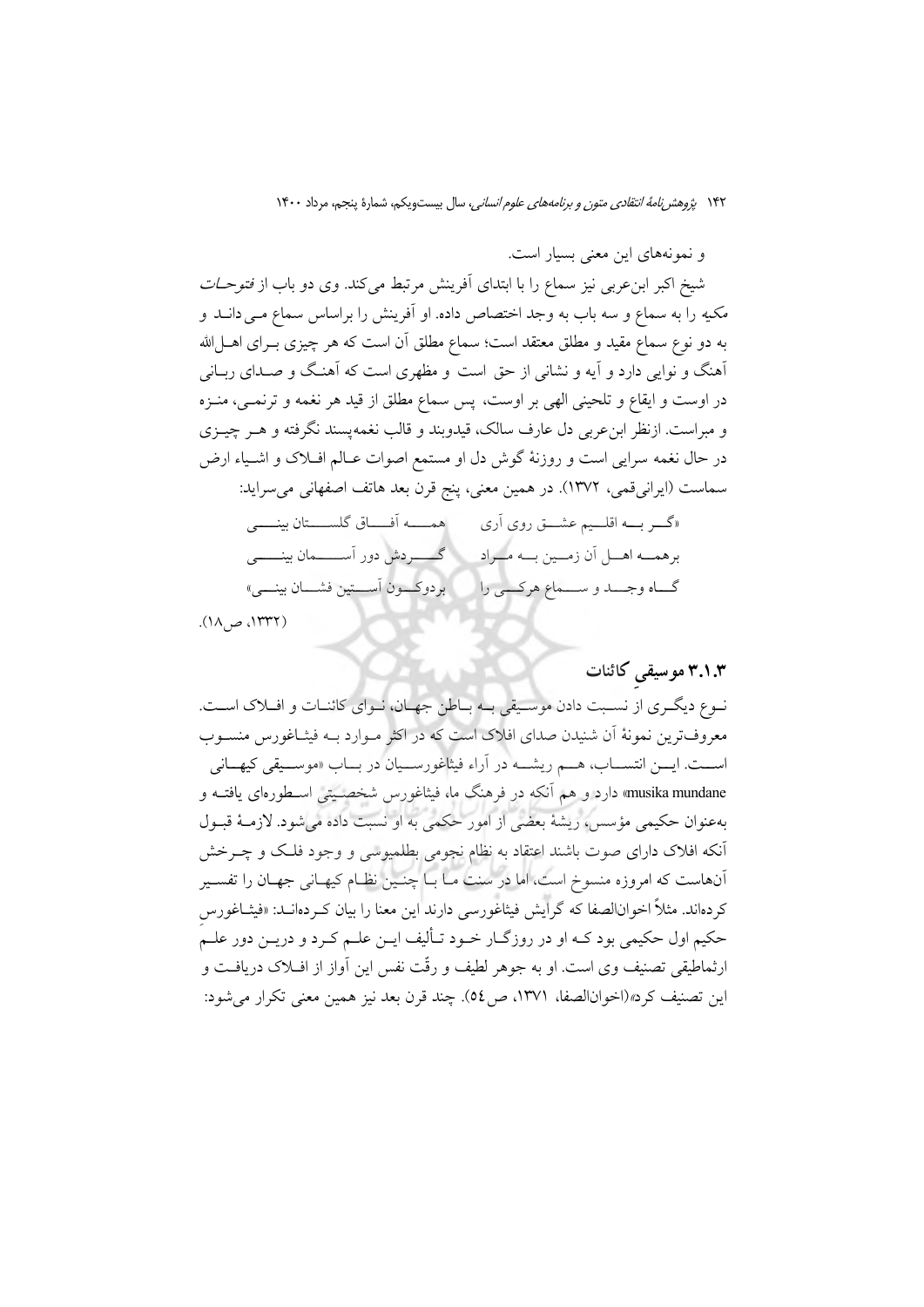و نمونههای این معنی بسیار است.

شیخ اکبر ابن عربی نیز سماع را با ابتدای آفرینش مرتبط میکند. وی دو باب از *فتوحـات* مکیه را به سماع و سه باب به وجد اختصاص داده. او آفرینش را براساس سماع مـی دانــد و به دو نوع سماع مقید و مطلق معتقد است؛ سماع مطلق آن است که هر چیزی بــرای اهـــلالله آهنگ و نوایی دارد و آیه و نشانی از حق است و مظهری است که آهنگ و صـدای ربــانی در اوست و ايقاع و تلحيني الهي بر اوست، پس سماع مطلق از قيد هر نغمه و ترنمـي، منـزه و مبراست. ازنظر ابن عربی دل عارف سالک، قیدوبند و قالب نغمهپسند نگرفته و هـر چیــزی در حال نغمه سرایی است و روزنهٔ گوش دل او مستمع اصوات عـالم افـلاک و اشـیاء ارض سماست (ايرانيقمي، ١٣٧٢). در همين معنى، پنج قرن بعد هاتف اصفهاني مي سرايد: «گـــر بـــه اقلـــيم عشــــق روى أرى مــــــــــه أفـــــاق گلســـــتان بينـــــــم ِ برهمـــه اهـــل آن زمـــين بـــه مـــراد ممـــــــــردش دور آســـــــــمان بينـــــــي گــاه وجـــد و ســــماع هركــــي را بردوكـــون آســــتين فشـــان بينــــي»

 $(11.4)$ ه ص ۱۲۳۲).

۳.۱.۳ موسیقی کائنات

نـوع ديگـري از نسـبت دادن موسـيقى بـه بـاطن جهـان، نـواي كائنـات و افــلاک اســت. معروفترین نمونهٔ اَن شنیدن صدای افلاک است که در اکثر مـوارد بـه فیثـاغورس منســوب اســت. ايـــن انتســـاب، هـــم ريشـــه در آراء فيثاغورســيان در بـــاب «موســيقى كيهـــانى musika mundane» دارد و هم آنکه در فرهنگ ما، فیثاغورس شخصیتی اسـطورهای یافتـه و بهعنوان حکیمی مؤسس، ریشهٔ بعضی از امور حکمی به او نسبت داده می شود. لازمـهٔ قبـول آنکه افلاک دارای صوت باشند اعتقاد به نظام نجومی بطلمیوسی و وجود فلک و چــرخش آنهاست که امروزه منسوخ است، اما در سنت مـا بــا چنــین نظــام کیهــانی جهــان را تفســیر كردهاند. مثلاً اخوانالصفا كه گرايش فيثاغورسي دارند اين معنا را بيان كـردهانــد: «فيثــاغورس حکیم اول حکیمی بود کـه او در روزگــار خــود تــألیف ایــن علــم کــرد و دریــن دور علــمَ ارثماطیقی تصنیف وی است. او به جوهر لطیف و رقّت نفس این آواز از افــلاک دریافــت و اين تصنيف كرد»(اخوانالصفا، ١٣٧١، ص٥٤). چند قرن بعد نيز همين معنى تكرار مي شود: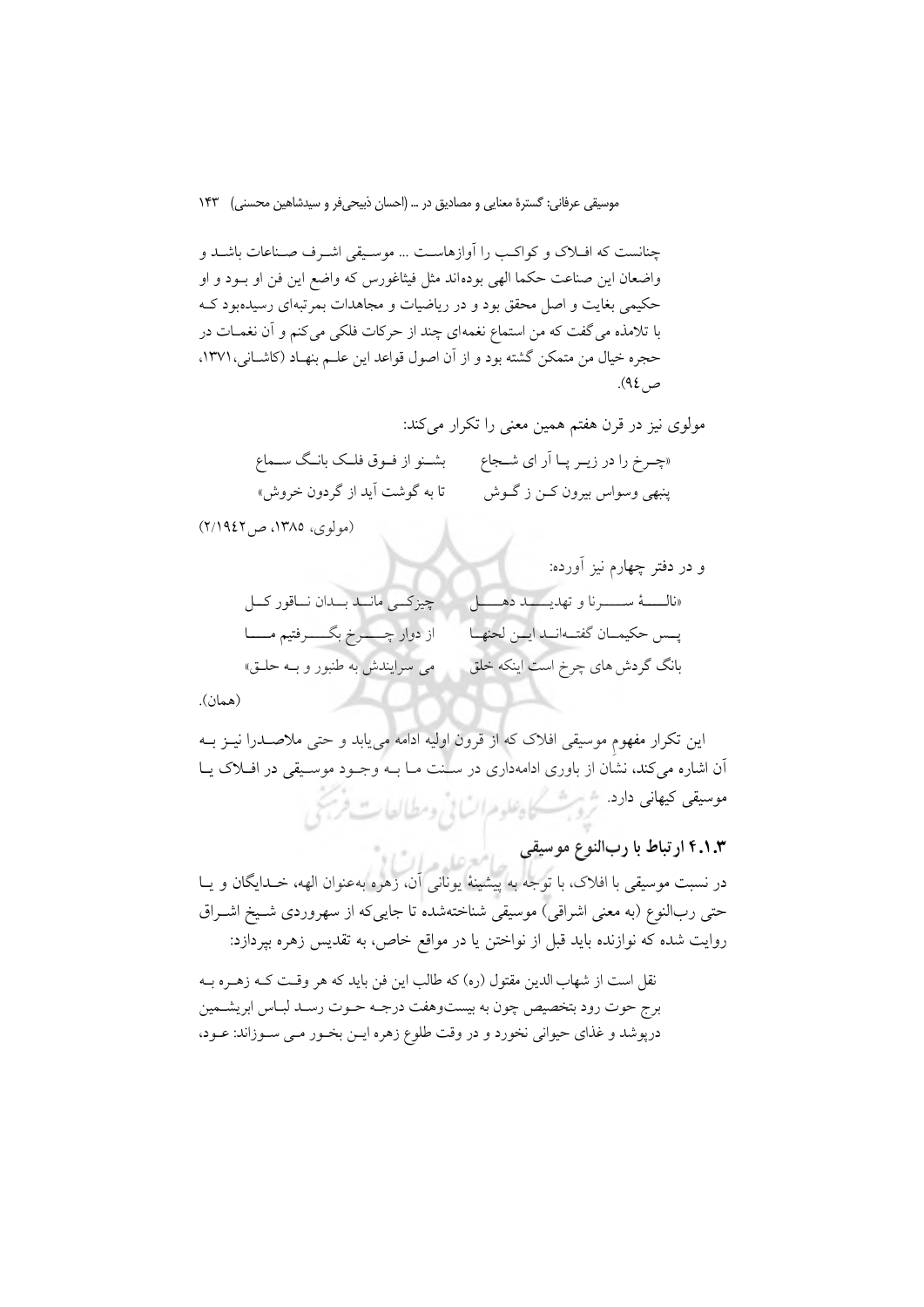موسيقى عرفاني: گسترة معنايي و مصاديق در … (احسان ذبيحي فر و سيدشاهين محسني) 1۴۳

چنانست که افلاک و کواکب را آوازهاست ... موسیقی اشـرف صـناعات باشـد و واضعان این صناعت حکما الهی بوده اند مثل فیثاغورس که واضع این فن او بـود و او حکیمی بغایت و اصل محقق بود و در ریاضیات و مجاهدات بمرتبهای رسیدهبود ک با تلامذه می گفت که من استماع نغمهای چند از حرکات فلکی می کنم و آن نغمـات در حجره خيال من متمكن گشته بود و از آن اصول قواعد اين علـم بنهـاد (كاشـاني،١٣٧١، ص ۹٤).

مولوی نیز در قرن هفتم همین معنی را تکرار میکند:

| بشـنو از فـوق فلـک بانـگ ســماع | «چــرخ را در زیــر پــا اَر ای شـــجاع |
|---------------------------------|----------------------------------------|
| تا به گوشت آید از گردون خروش»   | پنبھی وسواس بیرون کــن ز گــوش         |

(مولوی، ١٣٨٥، ص ٢/١٩٤٢)

(همان).

این تکرار مفهوم موسیقی افلاک که از قرون اولیه ادامه می یابد و حتی ملاصـدرا نیــز بــه اّن اشاره می کند، نشّان از باوری ادامهداری در سـنت مـا بــه وجــود موســيقی در افــلاک يــا موسیقی محیانی دارد. شهرهٔ محلوط السابی ومطالعات فرجنی

۴.۱.۳ ارتباط با رب النوع موسيقى حياسم على حرائب در نسبت موسیقی با افلاک، با توجه به پیشینهٔ یونانی آن، زهره بهعنوان الهه، خـدایگان و یــا حتى ربالنوع (به معنى اشراقى) موسيقى شناختهشده تا جايى كه از سهروردى شـيخ اشـراق روایت شده که نوازنده باید قبل از نواختن یا در مواقع خاص، به تقدیس زهره بپردازد:

نقل است از شهاب الدین مقتول (ره) که طالب این فن باید که هر وقـت کــه زهــره بــه برج حوت رود بتخصیص چون به بیستوهفت درجـه حـوت رسـد لبـاس ابریشــمین درپوشد و غذاي حيواني نخورد و در وقت طلوع زهره ايـن بخـور مـي سـوزاند: عـود،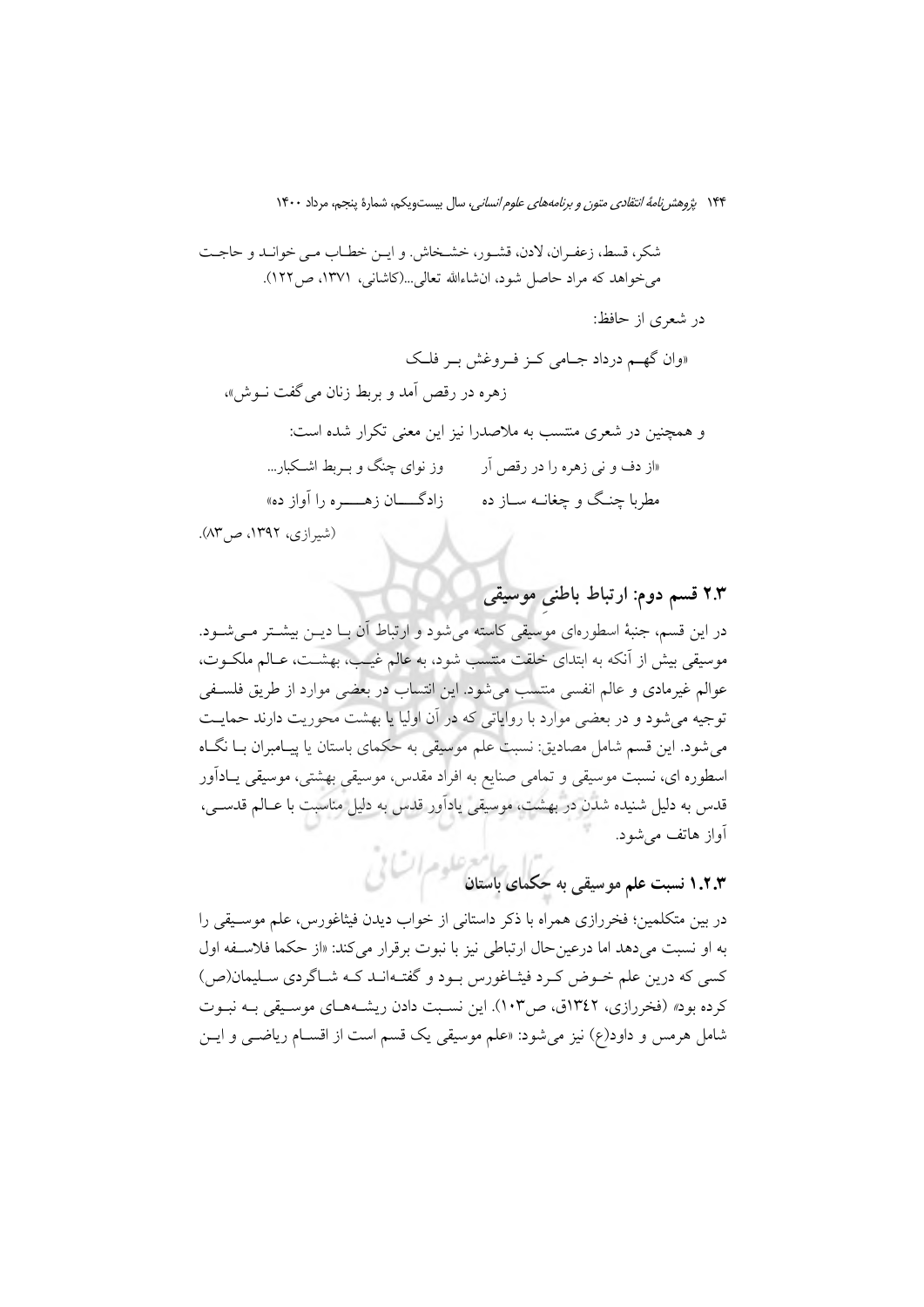شكر، قسط، زعفـران، لادن، قشـور، خشـخاش. و ايـن خطـاب مـي خوانـد و حاجـت می خواهد که مراد حاصل شود، انشاءالله تعالی…(کاشانی، ۱۳۷۱، ص۱۲۲).

در شعری از حافظ:

«وان گھـم درداد جــامي كــز فــروغش بــر فلــك زهره در رقص أمد و بربط زنان مي گفت نــوش». و همچنین در شعری منتسب به ملاصدرا نیز این معنی تکرار شده است: وز نوای چنگ و بـربط اشـکبار… «از دف و ني زهره را در رقص آر زادگـــــــــان زهــــــــــره را آواز ده» مطربا چنگ و چغانــه ســاز ده

(شیرازی، ۱۳۹۲، ص۳۸۳).

۲.۳ قسم دوم: ارتباط باطنی موسیقی در این قسم، جنبهٔ اسطورهای موسیقی کاسته میشود و ارتباط آن بـا دیـن بیشـتر مـیشـود. موسیقی بیش از آنکه به ابتدای خلقت منتسب شود، به عالم غیـب، بهشـت، عــالم ملکــوت، عوالم غيرمادي و عالم انفسي منتسب مي شود. اين انتساب در بعضي موارد از طريق فلسـفي توجیه میشود و در بعضی موارد با روایاتی که در آن اولیا یا بهشت محوریت دارند حمایت می شود. این قسم شامل مصادیق: نسبت علم موسیقی به حکمای باستان یا پیـامبران بــا نگــاه اسطوره اي، نسبت موسيقي و تمامي صنايع به افراد مقدس، موسيقي بهشتي، موسيقي پـادآور قدس به دلیل شنیده شدن در بهشت، موسیقی یادآور قدس به دلیل مناسبت با عــالـم قدســـی، آواز هاتف می شود.

۱.۲.۳ نسبت علم موسیقی به حکمای باستان

در بين متكلمين؛ فخررازي همراه با ذكر داستاني از خواب ديدن فيثاغورس، علم موسـيقى را به او نسبت می دهد اما درعین حال ارتباطی نیز با نبوت برقرار می کند: «از حکما فلاسفه اول کسی که درین علم خــوض کــرد فیثــاغورس بــود و گفتــهانــد کــه شــاگردی ســلیمان(ص) كرده بود» (فخررازي، ١٣٤٢ق، ص١٠٣). اين نسبت دادن ريشـههـاي موسـيقى بـه نبـوت شامل هرمس و داود(ع) نیز می شود: «علم موسیقی یک قسم است از اقسـام ریاضـی و ایــن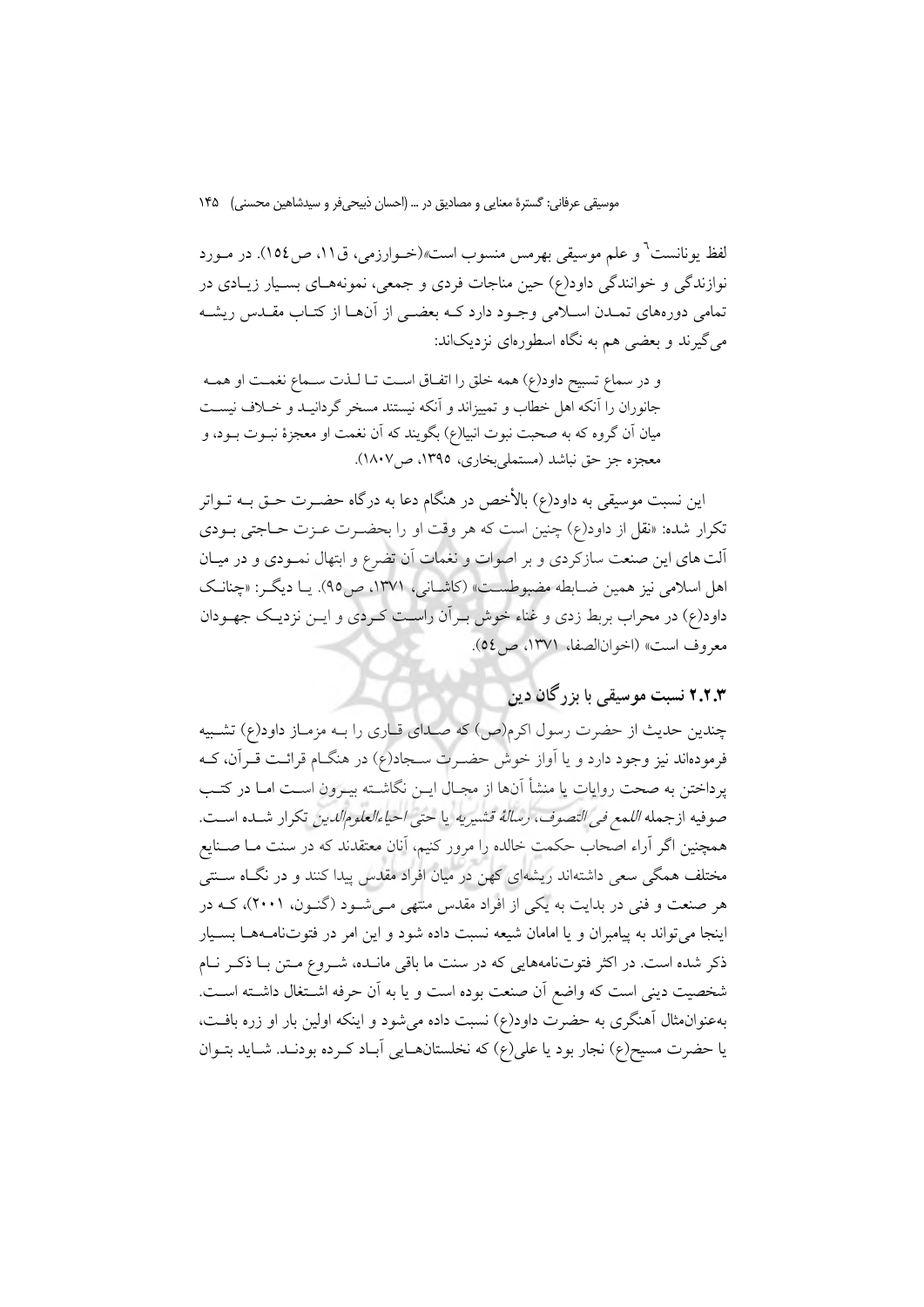موسيقى عرفاني: گسترة معنايي و مصاديق در … (احسان ذبيحي فر و سيدشاهين محسني) ١۴۵

لفظ یونانست<sup>٦</sup> و علم موسیقی بهرمس منسوب است»(خــوارزمی، ق١١، ص١٥٤). در مــورد نوازندگی و خوانندگی داود(ع) حین مناجات فردی و جمعی، نمونههـای بسـیار زیـادی در تمامی دورههای تمـدن اسـلامی وجـود دارد کـه بعضـی از آنهـا از کتـاب مقـدس ريشـه می گیرند و بعضی هم به نگاه اسطورهای نزدیکاند:

و در سماع تسبيح داود(ع) همه خلق را اتفـاق اسـت تـا لـذت سـماع نغمـت او همـه جانوران را آنکه اهل خطاب و تمییزاند و آنکه نیستند مسخر گردانیـد و خـلاف نیسـت میان آن گروه که به صحبت نبوت انبیا(ع) بگویند که آن نغمت او معجزهٔ نبــوت بــود، و معجزه جز حق نباشد (مستملي بخاري، ١٣٩٥، ص١٨٠٧).

این نسبت موسیقی به داود(ع) بالأخص در هنگام دعا به درگاه حضـرت حــق بــه تــواتر تکرار شده: «نقل از داود(ع) چنین است که هر وقت او را بحضـرت عـزت حـاجتی بـودی آلت های این صنعت سازکردی و بر اصوات و نغمات آن تضرع و ابتهال نمـودی و در میـان اهل اسلامي نيز همين ضبابطه مضبوطست» (كاشباني، ١٣٧١، ص٩٥). يبا ديگر: «چنانك داود(ع) در محراب بربط زدی و غناء خوش بـران راسـت کـردی و ایــن نزدیـک جهــودان معروف است» (اخوانالصفا، ١٣٧١، ص ٥٤).

## ۲.۲.۳ نسبت موسیقی با بزرگان دین

چندین حدیث از حضرت رسول اکرم(ص) که صـدای قـاری را بـه مزمـاز داود(ع) تشـبیه فرمودهاند نیز وجود دارد و یا آواز خوش حضـرت سـجاد(ع) در هنگـام قرائـت قــران، کــه يرداختن به صحت روايات يا منشأ آنها از مجـال ايــن نگاشــته بيــرون اســت امــا در كتــب صوفيه ازجمله *اللمع في التصوف، رسالةُ قشيريه* يا حتى *احياءالعلوم الدين* تكرار شــده اسـت. همچنین اگر آراء اصحاب حکمت خالده را مرور کنیم، آنان معتقدند که در سنت مــا صــنایع مختلف همگی سعی داشتهاند ریشهای کهن در میان افراد مقدس پیدا کنند و در نگاه سـنتی هر صنعت و فنی در بدایت به یکی از افراد مقدس منتهی مـی شـود (گنـون، ۲۰۰۱)، کــه در اینجا می تواند به پیامبران و یا امامان شیعه نسبت داده شود و این امر در فتوتنامـههـا بسـیار ذکر شده است. در اکثر فتوتنامههایی که در سنت ما باقی مانـده، شــروع مـتن بـا ذکـر نــام شخصيت ديني است كه واضع آن صنعت بوده است و يا به آن حرفه اشـتغال داشـته اسـت. بهعنوان مثال آهنگری به حضرت داود(ع) نسبت داده می شود و اینکه اولین بار او زره بافت، یا حضرت مسیح(ع) نجار بود یا علی(ع) که نخلستانهایی آباد کـرده بودنـد. شـاید بتـوان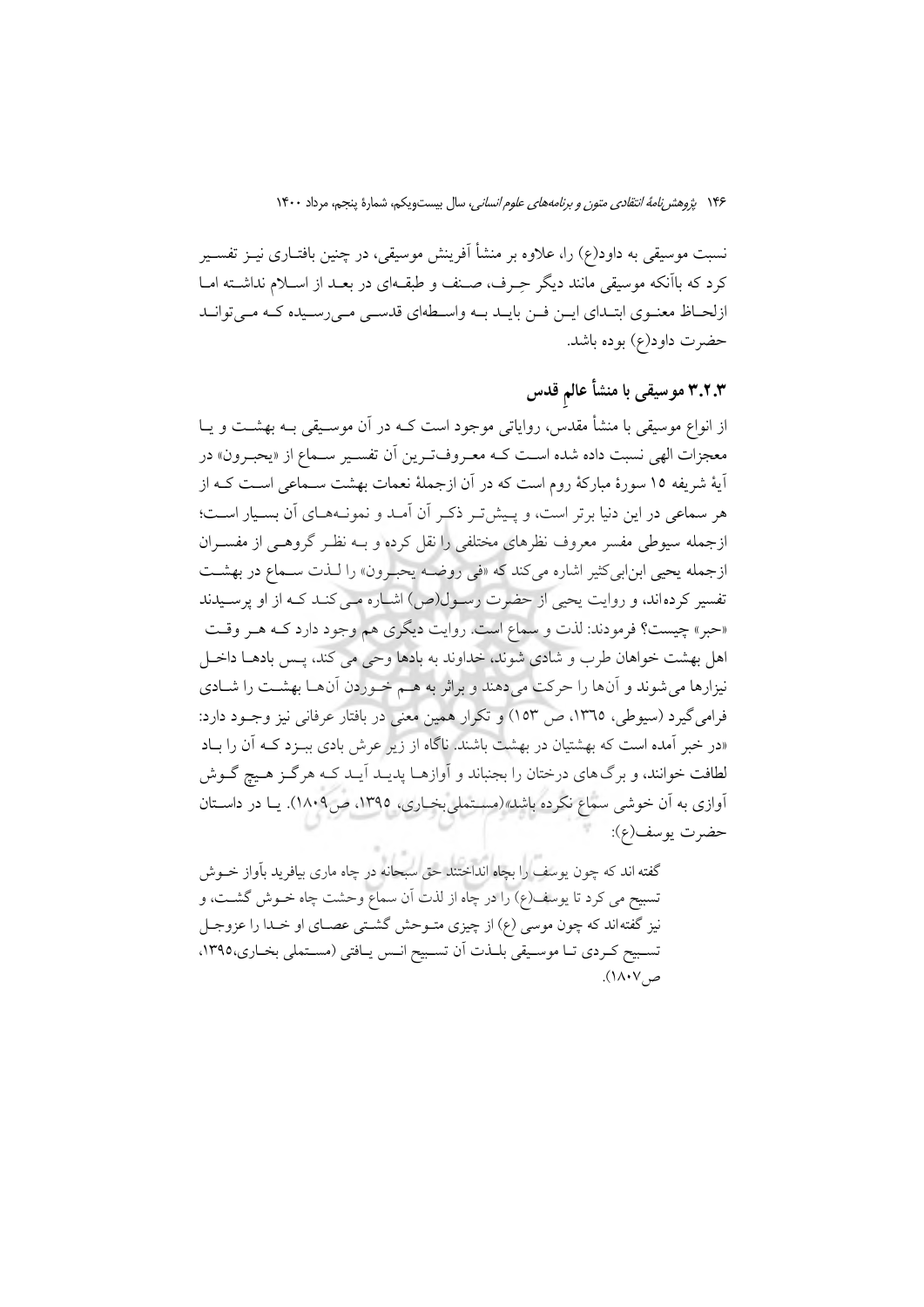نسبت موسیقی به داود(ع) را، علاوه بر منشأ آفرینش موسیقی، در چنین بافتـاری نیــز تفســیر کرد که باآنکه موسیقی مانند دیگر حِـرف، صـنف و طبقـهای در بعـد از اسـلام نداشــته امــا ازلحـاظ معنـوي ابتـداي ايــن فــن بايــد بــه واســطهاي قدســي مــي رســيده كــه مــي توانــد حضرت داود(ع) بوده باشد.

# ۳.۲.۳ موسیقی با منشأ عالم قدس

از انواع موسیقی با منشأ مقدس، روایاتی موجود است کــه در آن موســیقی بــه بهشــت و یــا معجزات الهي نسبت داده شده اسـت كــه معـروفتـرين أن تفسـير ســماع از «يحبـرون» در اّیهٔ شریفه ۱۵ سورهٔ مبارکهٔ روم است که در اّن ازجملهٔ نعمات بهشت سـماعی اسـت کـه از هر سماعی در این دنیا برتر است، و پیش تـر ذکـر آن آمـد و نمونـههـای آن بسـیار اسـت؛ ازجمله سیوطی مفسر معروف نظرهای مختلفی را نقل کرده و بـه نظـر گروهـی از مفســران ازجمله يحيى ابن ابي كثير اشاره مي كند كه «في روضـه يحبـرون» را لـذت سـماع در بهشـت تفسیر کردهاند، و روایت یحیی از حضرت رسـول(ص) اشـاره مـی کنـد کـه از او پرسـیدند «حبر» چیست؟ فرمودند: لذت و سماع است. روایت دیگری هم وجود دارد کـه هـر وقـت اهل بهشت خواهان طرب و شادي شوند، خداوند به بادها وحي مي كند، پــس بادهــا داخــل نیزارها می شوند و آنها را حرکت می دهند و براثر به هــم خــوردن آنهــا بهشــت را شــادی فرامي گيرد (سيوطي، ١٣٦٥، ص ١٥٣) و تكرار همين معنى در بافتار عرفاني نيز وجـود دارد: «در خبر آمده است که بهشتیان در بهشت باشند. ناگاه از زیر عرش بادی ببود کـه آن را بـاد لطافت خوانند، و برگ های درختان را بجنباند و آوازهـا پدیـد آیـد کـه هرگـز هـیچ گـوش آوازی به آن خوشی سماع نکرده باشد»(مستملی بخباری، ۱۳۹٥، ص۱۸۰۹). یا در داستان حضرت يوسف(ع):

گفته اند که چون یوسف را بچاه انداختند حق سبحانه در چاه ماری بیافرید بآواز خــوش تسبیح می کرد تا یوسف(ع) را در چاه از لذت آن سماع وحشت چاه خــوش گشــت، و نیز گفتهاند که چون موسی (ع) از چیزی متـوحش گشـتی عصـای او خـدا را عزوجـل تسبيح كـردي تـا موسـيقى بلــذت أن تسـبيح انـس يــافتى (مسـتملي بخــاري،١٣٩٥، ص ۱۸۰۷).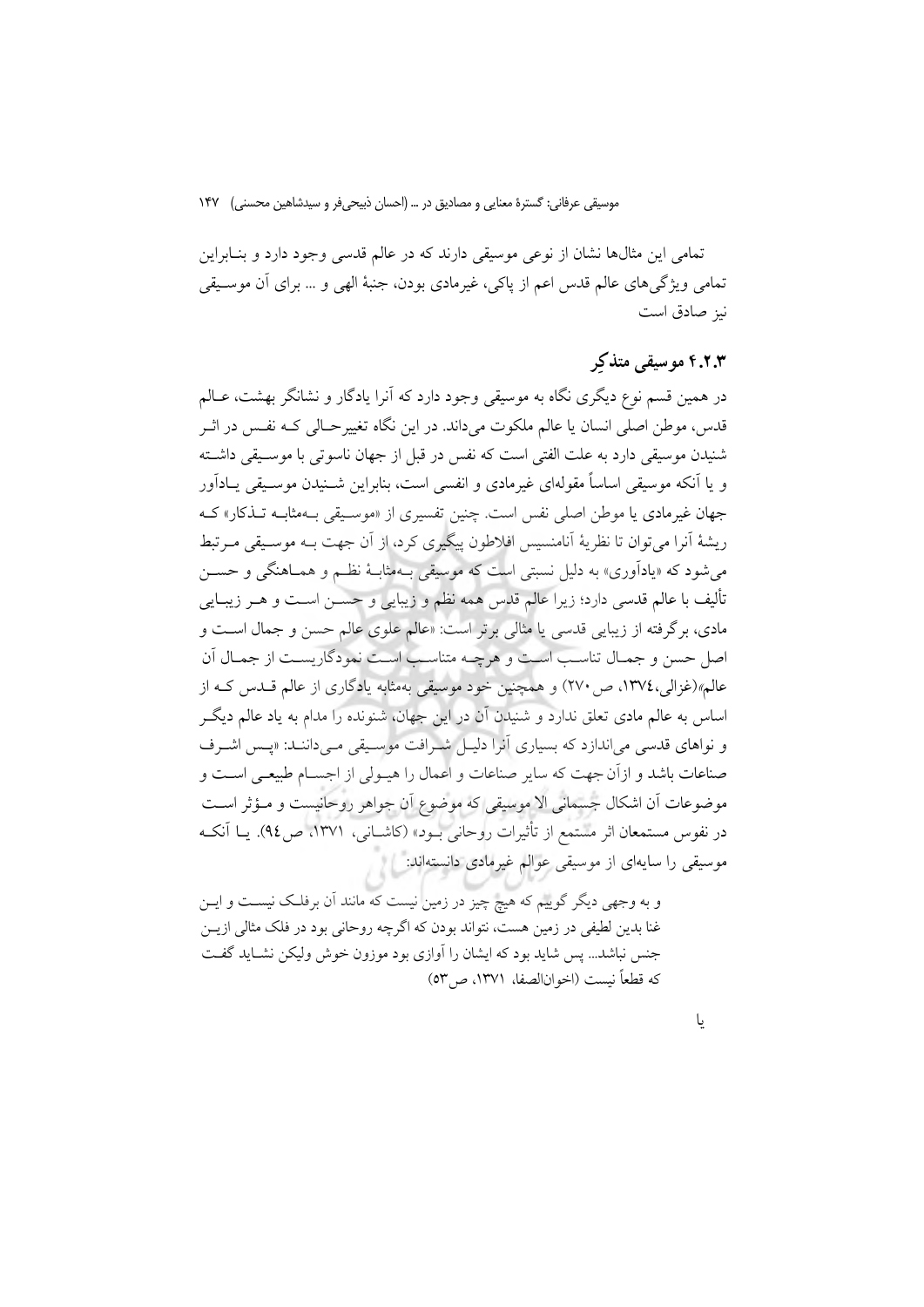موسيقى عرفاني: گسترهٔ معنايي و مصاديق در … (احسان ذبيحي فر و سيدشاهين محسني) ۱۴۷

تمامی این مثالها نشان از نوعی موسیقی دارند که در عالم قدسی وجود دارد و بنــابراین تمامي ويژگيهاي عالم قدس اعم از پاکي، غيرمادي بودن، جنبهٔ الهي و … براي آن موسـيقي نیز صادق است

## ۴.۲.۳ مو سیقی متذکر

در همین قسم نوع دیگری نگاه به موسیقی وجود دارد که آنرا یادگار و نشانگر بهشت، عــالم قدس، موطن اصلی انسان یا عالم ملکوت میداند. در این نگاه تغییرحـالی کــه نفـس در اثــر شنيدن موسيقى دارد به علت الفتى است كه نفس در قبل از جهان ناسوتى با موسـيقى داشـته و یا آنکه موسیقی اساساً مقولهای غیرمادی و انفسی است، بنابراین شــنیدن موســیقی پــادآور جهان غیرمادی یا موطن اصلی نفس است. چنین تفسیری از «موسـیقی بـهغثابـه تـذکار» کـه ريشهٔ آنرا مي توان تا نظريهٔ آنامنسيس افلاطون پيگيري كرد، از آن جهت بـه موسـيقى مـرتبط می شود که «یادآوری» به دلیل نسبتی است که موسیقی بـهمثابـهٔ نظـم و همـاهنگی و حســن تألیف با عالم قدسی دارد؛ زیرا عالم قدس همه نظم و زیبایی و حســن اســت و هــر زیبــایی .<br>مادي، برگرفته از زيبايي قدسي يا مثالي برتر است: «عالم علوي عالم حسن و جمال است و اصل حسن و جمـال تناسـب اسـت و هرچـه متناسـب اسـت نمودگاريسـت از جمـال آن عالم»(غزالي،١٣٧٤، ص ٢٧٠) و همچنين خود موسيقي بهمثابه يادگاري از عالم قــدس کــه از اساس به عالم مادی تعلق ندارد و شنیدن آن در این جهان، شنونده را مدام به یاد عالم دیگـر و نواهای قدسی می اندازد که بسیاری آنرا دلیـل شـرافت موسـیقی مـی داننـد: «پـس اشـرف صناعات باشد و ازأن جهت كه سایر صناعات و اعمال را هیـولی از اجســام طبیعــی اســت و موضوعات أن اشكال جسماني الا موسيقى كه موضوع أن جواهر روحانيست و مـؤثر اسـت در نفوس مستمعان اثر مستمع از تأثیرات روحانی بــود» (کاشــانی، ۱۳۷۱، ص۹٤). یــا آنکــه موسیقی را سایهای از موسیقی عوالم غیرمادی دانستهاند: |

و به وجهی دیگر گوییم که هیچ چیز در زمین نیست که مانند آن برفلک نیسـت و ایــن غنا بدین لطیفی در زمین هست، نتواند بودن که اگرچه روحانی بود در فلک مثالی ازیـن جنس نباشد... پس شاید بود که ایشان را آوازی بود موزون خوش ولیکن نشـاید گفـت كه قطعاً نسبت (اخوانالصفا، ١٣٧١، ص٥٣)

**U**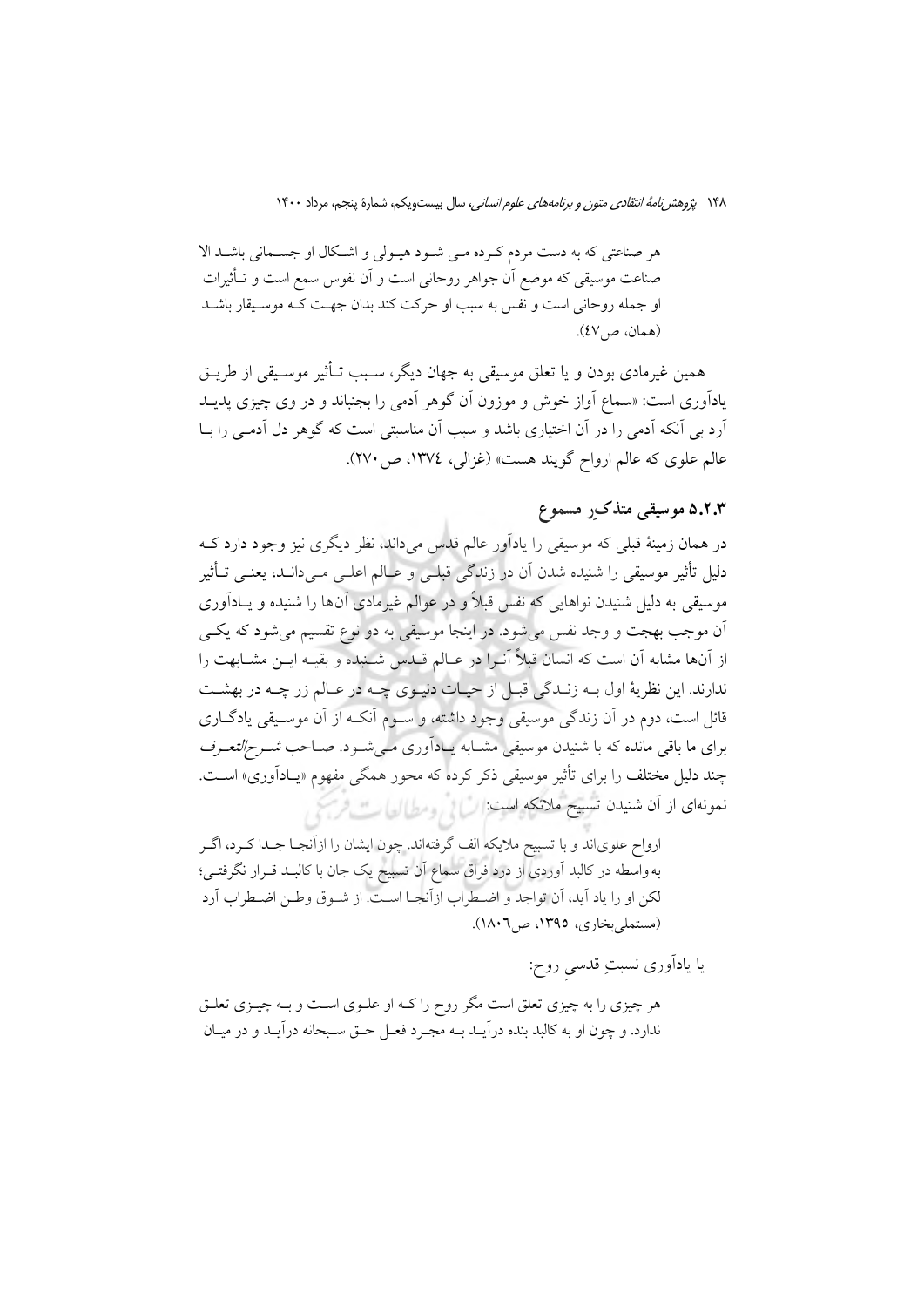هر صناعتی که به دست مردم کـرده مـی شـود هیـولی و اشـکال او جسـمانی باشـد الا صناعت موسیقی که موضع آن جواهر روحانی است و آن نفوس سمع است و تـأثیرات او جمله روحانی است و نفس به سبب او حرکت کند بدان جهت کـه موسـيقار باشـد (همان، ص٧٤).

همین غیرمادی بودن و یا تعلق موسیقی به جهان دیگر، سـبب تــأثیر موســیقی از طریــق یادآوری است: «سماع آواز خوش و موزون آن گوهر آدمی را بجنباند و در وی چیزی یدیــد ۔<br>آرد بی آنکه آدمی را در آن اختیاری باشد و سبب آن مناسبتی است که گوهر دل آدمـی را بــا عالم علوی که عالم ارواح گویند هست» (غزالی، ۱۳۷٤، ص۲۷۰).

# ۵.۲.۳ موسیقی متذکرِ مسموع

در همان زمینهٔ قبلی که موسیقی را یادآور عالم قدس میداند، نظر دیگری نیز وجود دارد ک دلیل تأثیر موسیقی را شنیده شدن آن در زندگی قبلـی و عـالم اعلـی مـیدانـد، یعنـی تـأثیر موسیقی به دلیل شنیدن نواهایی که نفس قبلاً و در عوالم غیرمادی آنها را شنیده و پـادآوری آن موجب بهجت و وجد نفس می شود. در اینجا موسیقی به دو نوع تقسیم می شود که یکسی از آنها مشابه آن است كه انسان قبلاً آنـرا در عـالم قــدس شــنيده و بقيــه ايــن مشــابهت را ندارند. اين نظريهٔ اول بــه زنــدگي قبــل از حيــات دنيــوي چــه در عــالم زر چــه در بهشــت قائل است، دوم در آن زندگی موسیقی وجود داشته، و سـوم آنکـه از آن موسـیقی یادگــاری برای ما باقی مانده که با شنیدن موسیقی مشـابه پـادآوری مـی شـود. صـاحب *شـر ح/لتعـرف* چند دلیل مختلف را برای تأثیر موسیقی ذکر کرده که محور همگی مفهوم «پـادآوری» اسـت. نمونهای از آن شنیدن تسبیح ملائکه است: الرا في ومطالعات فرکنی

ارواح علویاند و با تسبیح ملایکه الف گرفتهاند. چون ایشان را ازآنجـا جـدا کـرد، اگـر به واسطه در كالبد أوردي از درد فراق سماع أن تسبيح يک جان با كالبـد قـرار نگرفتـي؛ لكن او را ياد أيد، أن تواجد و اضطراب ازأنجـا اسـت. از شـوق وطـن اضـطراب أرد (مستملیبخاری، ١٣٩٥، ص١٨٠٦).

یا یادآوری نسبتِ قدسی روح:

هر چیزی را به چیزی تعلق است مگر روح را کـه او علــوی اســت و بــه چیــزی تعلــق ندارد. و چون او به كالبد بنده درآيـد بــه مجـرد فعــل حــق ســبحانه درآيــد و در ميــان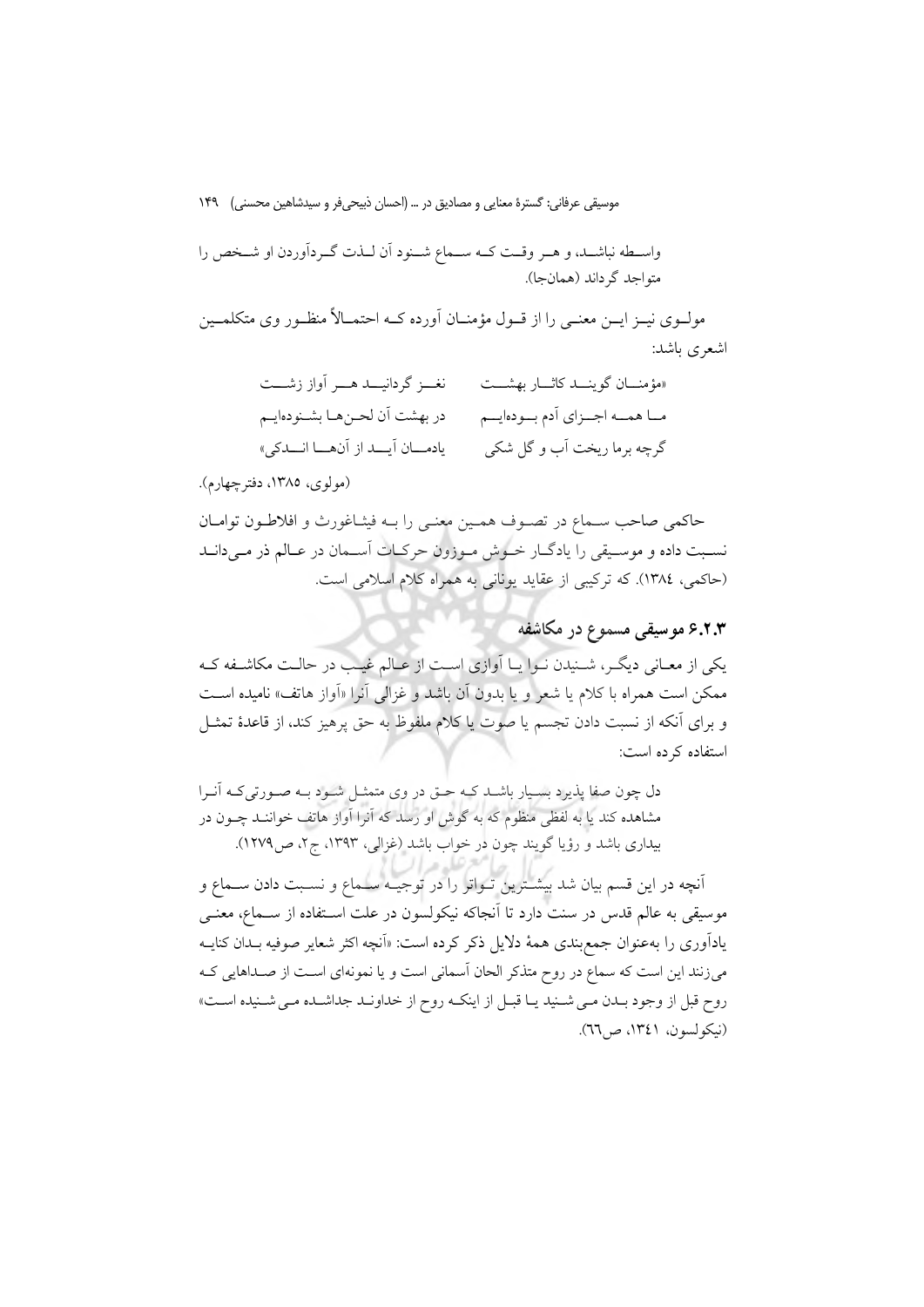موسيقى عرفاني: گسترهٔ معنايي و مصاديق در … (احسان ذبيحيفر و سيدشاهين محسني) ١۴٩

واسطه نباشـد، و هـر وقـت كـه سـماع شـنود أن لـذت گـردأوردن او شـخص را متواجد گرداند (همانجا).

مولــوي نيــز ايــن معنــي را از قــول مؤمنــان أورده كــه احتمــالأ منظــور وي متكلمــين اشعري باشد:

| نغــز گردانيـــد هـــر أواز زشـــت | «مؤمنــان گوينـــد كاثــار بهشـــت   |
|------------------------------------|--------------------------------------|
| در بهشت آن لحـنهـا بشـنودهايـم     | مــا همـــه اجــزاي أدم بــودهايـــم |
| يادمـان آيــد از آنهــا انــدكى»   | گرچه برما ریخت اَب و گل شکی          |

(مولوي، ١٣٨٥، دفترچهارم).

حاكمي صاحب سـماع در تصـوف همـين معنـي را بـه فيثـاغورث و افلاطـون توامـان نسبت داده و موسـيقى را يادگــار خــوش مــوزون حركــات آســمان در عــالم ذر مــىدانــد (حاكمي، ١٣٨٤). كه تركيبي از عقايد يوناني به همراه كلام اسلامي است.

۶.۲.۳ موسیقی مسموع در مکاشفه یکی از معـانی دیگـر، شــنیدن نــوا یــا اَوازی اســت از عــالم غیــب در حالــت مکاشــفه کــه ممکن است همراه با کلام یا شعر و یا بدون آن باشد و غزال<sub>ی</sub> آنرا «آواز هاتف» نامیده اسـت و براي آنكه از نسبت دادن تجسم يا صوت يا كلام ملفوظ به حق يرهيز كند، از قاعدهٔ تمثـل استفاده کر ده است:

دل چون صفا پذیرد بسـیار باشـد کـه حـق در وی متمثـل شـود بـه صـورتیکـه آنـرا مشاهده کند یا به لفظی منظوم که به گوش او رسد که آنرا آواز هاتف خواننـد چــون در بیداری باشد و رؤیا گویند چون در خواب باشد (غزالی، ۱۳۹۳، ج۲، ص۱۲۷۹).

آنچه در این قسم بیان شد بیشترین تـواتر را در توجیــه ســماع و نسـبت دادن ســماع و موسیقی به عالم قدس در سنت دارد تا آنجاکه نیکولسون در علت استفاده از سـماع، معنـی یادآوری را بهعنوان جمع بندی همهٔ دلایل ذکر کرده است: «اَنچه اکثر شعایر صوفیه بــدان کنایــه می;نند این است که سماع در روح متذکر الحان آسمانی است و یا نمونهای است از صـداهایی کـه روح قبل از وجود بــدن مــي شــنيد يــا قبــل از اينكــه روح از خداونــد جداشــده مــي شــنيده اســت» (نيكولسون، ١٣٤١، ص ٦٦).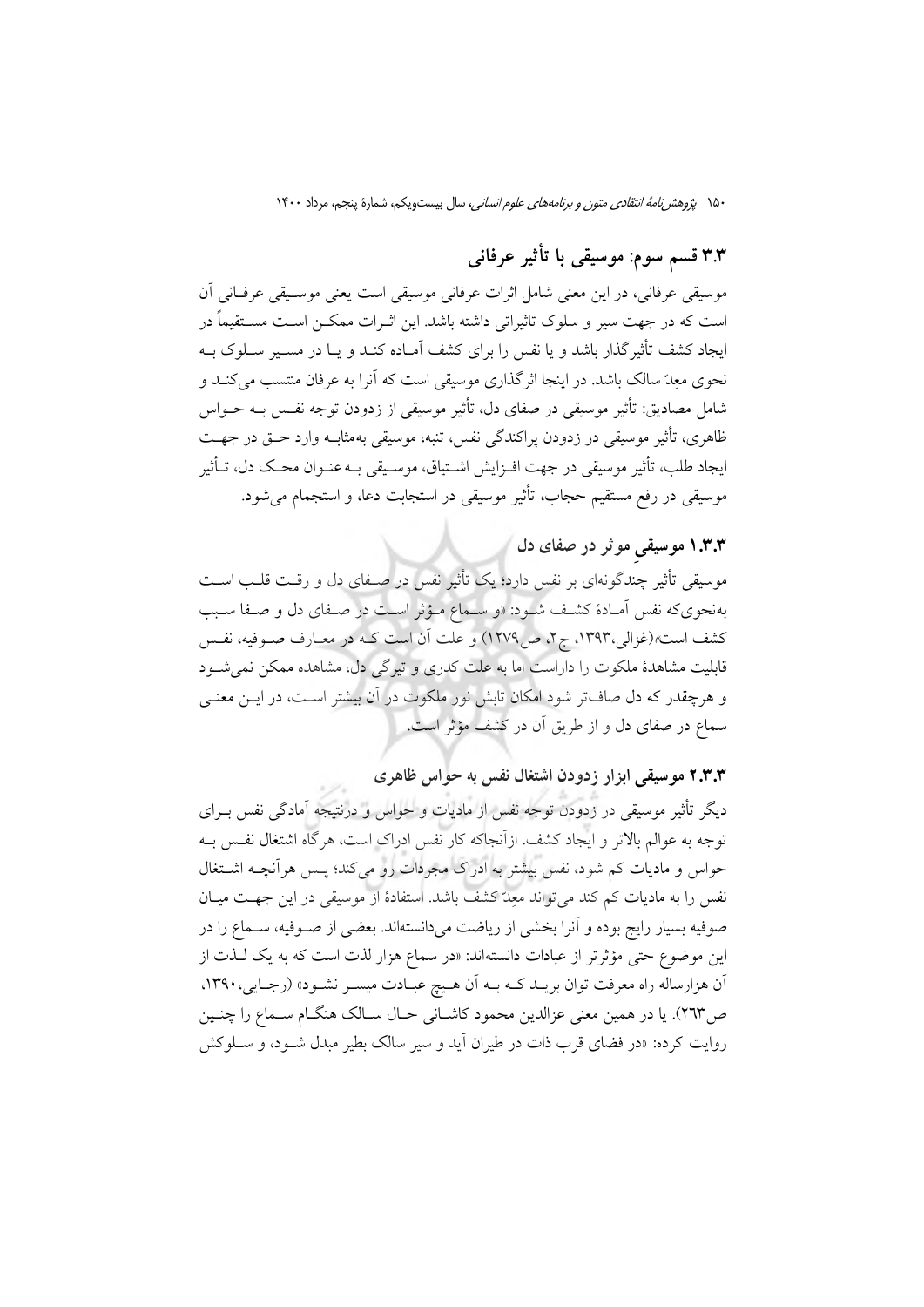# ۳.۳ قسم سوم: موسیقی با تأثیر عرفانی

موسیقی عرفانی، در این معنی شامل اثرات عرفانی موسیقی است یعنی موسـیقی عرفـانی اَن است که در جهت سیر و سلوک تاثیراتی داشته باشد. این اثـرات ممکــن اســت مســتقیماً در ایجاد کشف تأثیر گذار پاشد و یا نفس را برای کشف آمیاده کنید و بیا در مسیبر سیلوک بیه نحوی معِدّ سالک باشد. در اینجا اثر گذاری موسیقی است که آنرا به عرفان منتسب می کنــد و شامل مصادیق: تأثیر موسیقی در صفای دل، تأثیر موسیقی از زدودن توجه نفـس بــه حــواس .<br>ظاهري، تأثير موسيقي در زدودن يراكندگي نفس، تنبه، موسيقي بهمثابــه وارد حــق در جهــت ايجاد طلب، تأثير موسيقى در جهت افـزايش اشـتياق، موسـيقى بـه عنـوان محـك دل، تـأثير موسیقی در رفع مستقیم حجاب، تأثیر موسیقی در استجابت دعا، و استجمام میشود.

#### ۱.۳.۳ موسیقی موثر در صفای دل

موسیقی تأثیر چندگونهای بر نفس دارد؛ یک تأثیر نفس در صـفای دل و رقـت قلـب اسـت بهنحوی که نفس آمـادهٔ کشـف شـود: «و سـماع مـؤثر اسـت در صـفای دل و صـفا سـبب كشف است»(غزالي،١٣٩٣، ج٢، ص١٢٧٩) و علت أن است كـه در معــارف صــوفيه، نفـس قابلیت مشاهدهٔ ملکوت را داراست اما به علت کدری و تیرگی دل، مشاهده ممکن نمی شـود و هرچقدر که دل صاف تر شود امکان تابش نور ملکوت در آن بیشتر است، در ایــن معنــی سماع در صفای دل و از طریق آن در کشف مؤثر است.

۲.۳.۳ موسیقی ابزار زدودن اشتغال نفس به حواس ظاهری

دیگر تأثیر موسیقی در زدودن توجه نفس از مادیات و حواس و درنتیجه آمادگی نفس بــرای توجه به عوالم بالاتر و ايجاد كشف. ازآنجاكه كار نفس ادراك است، هرگاه اشتغال نفس بـه حواس و مادیات کم شود، نفس بیشتر به ادراک مجردات رو میکند؛ پــس هرآنچــه اشــتغال نفس را به مادیات کم کند می تواند معِدّ کشف باشد. استفادهٔ از موسیقی در این جهــت میــان صوفيه بسيار رايج بوده و آنرا بخشي از رياضت مي دانستهاند. بعضي از صـوفيه، ســماع را در این موضوع حتی مؤثرتر از عبادات دانستهاند: «در سماع هزار لذت است که به یک لـذت از أن هزارساله راه معرفت توان بريـد كـه بـه أن هـيچ عبـادت ميسـر نشـود» (رجـايي، ١٣٩٠، ص۳۱۳). یا در همین معنی عزالدین محمود کاشـانی حـال سـالک هنگـام سـماع را چنـین روایت کرده: «در فضای قرب ذات در طیران آید و سیر سالک بطیر مبدل شـود، و سـلوکش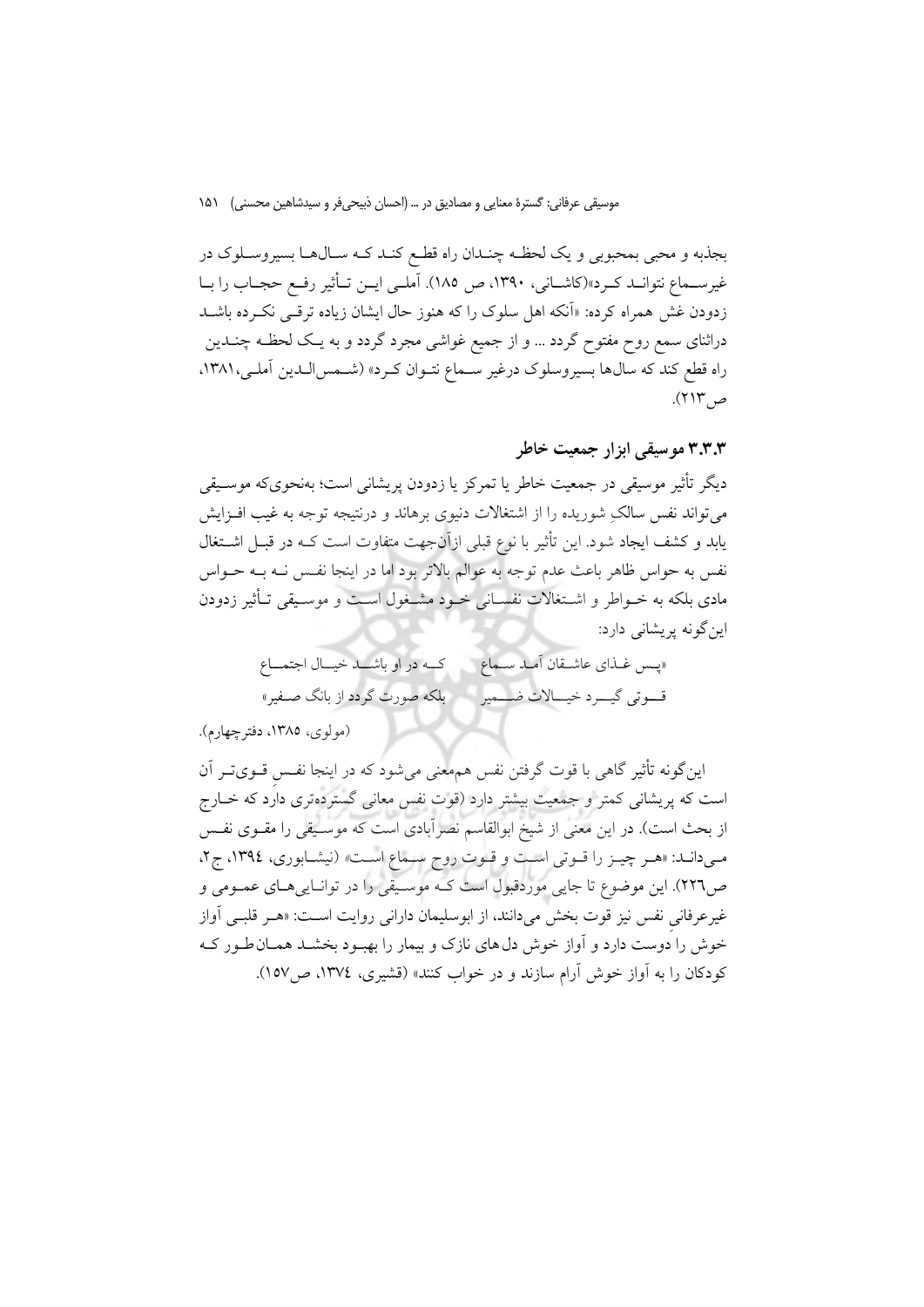موسيقى عرفاني: گسترة معنايي و مصاديق در … (احسان ذبيحي فر و سيدشاهين محسني) د ١٥١

بجذبه و محبی بمحبوبی و یک لحظـه چنـدان راه قطـع کنـد کـه سـالهـا بسیروسـلوک در غیرسـماع نتوانـد كـرد»(كاشـانى، ١٣٩٠، ص ١٨٥). أملـى ايــن تــأثير رفـع حجـاب را بــا زدودن غش همراه کرده: «اَنکه اهل سلوک را که هنوز حال ایشان زیاده ترقبی نکـرده باشــد دراثنای سمع روح مفتوح گردد … و از جمیع غواشی مجرد گردد و به یـک لحظـه چنــدین راه قطع کند که سالها بسیروسلوک درغیر سـماع نتـوان کـرد» (شــمس|لــدین اَملــی،۱۳۸۱، ص ۲۱۳).

#### ۳.۳.۳ مو سیقی ابزار جمعیت خاطر

دیگر تأثیر موسیقی در جمعیت خاطر یا تمرکز یا زدودن پریشانی است؛ بهنحویکه موسـیقی میتواند نفس سالکِ شوریده را از اشتغالات دنیوی برهاند و درنتیجه توجه به غیب افــزایش يابد و كشف ايجاد شود. اين تأثير با نوع قبلي ازآنجهت متفاوت است كـه در قبـل اشــتغال نفس به حواس ظاهر باعث عدم توجه به عوالم بالاتر بود اما در اینجا نفس نــه بــه حــواس مادی بلکه به خــواطر و اشــتغالات نفســانی خــود مشــغول اســت و موســيقی تــأثير زدودن اینگونه پریشانی دارد:

> «پس غـذاي عاشـقان آمـد سـماع كه در او باشــد خيــال اجتمــاع بلکه صورت گردد از بانگ صفیر» قسوتي گيسرد خيسالات ضسمير

(مولوي، ١٣٨٥، دفتر چهارم).

این گونه تأثیر گاهی با قوت گرفتن نفس همهعنی میشود که در اینجا نفـس قــویتــر آن است که پریشانی کمتر و جمعیت بیشتر دارد (قوت نفس معانی گستردهتری دارد که خــارج از بحث است). در این معنی از شیخ ابوالقاسم نصرآبادی است که موسـیقی را مقــوی نفــس میداند: «هر چیز را قوتی است و قـوت روح سـماع اسـت» (نیشـابوری، ١٣٩٤، ج٢، ص٢٢٦). این موضوع تا جایی موردقبول است کـه موسـیقی را در توانـاییهـای عمـومی و غیرعرفانی نفس نیز قوت بخش میدانند، از ابوسلیمان دارانی روایت اسـت: «هــر قلبــی آواز خوش را دوست دارد و آواز خوش دل های نازک و بیمار را بهبود بخشـد همـان طـور کـه کودکان را به آواز خوش آرام سازند و در خواب کنند» (قشیری، ۱۳۷٤، ص۱۵۷).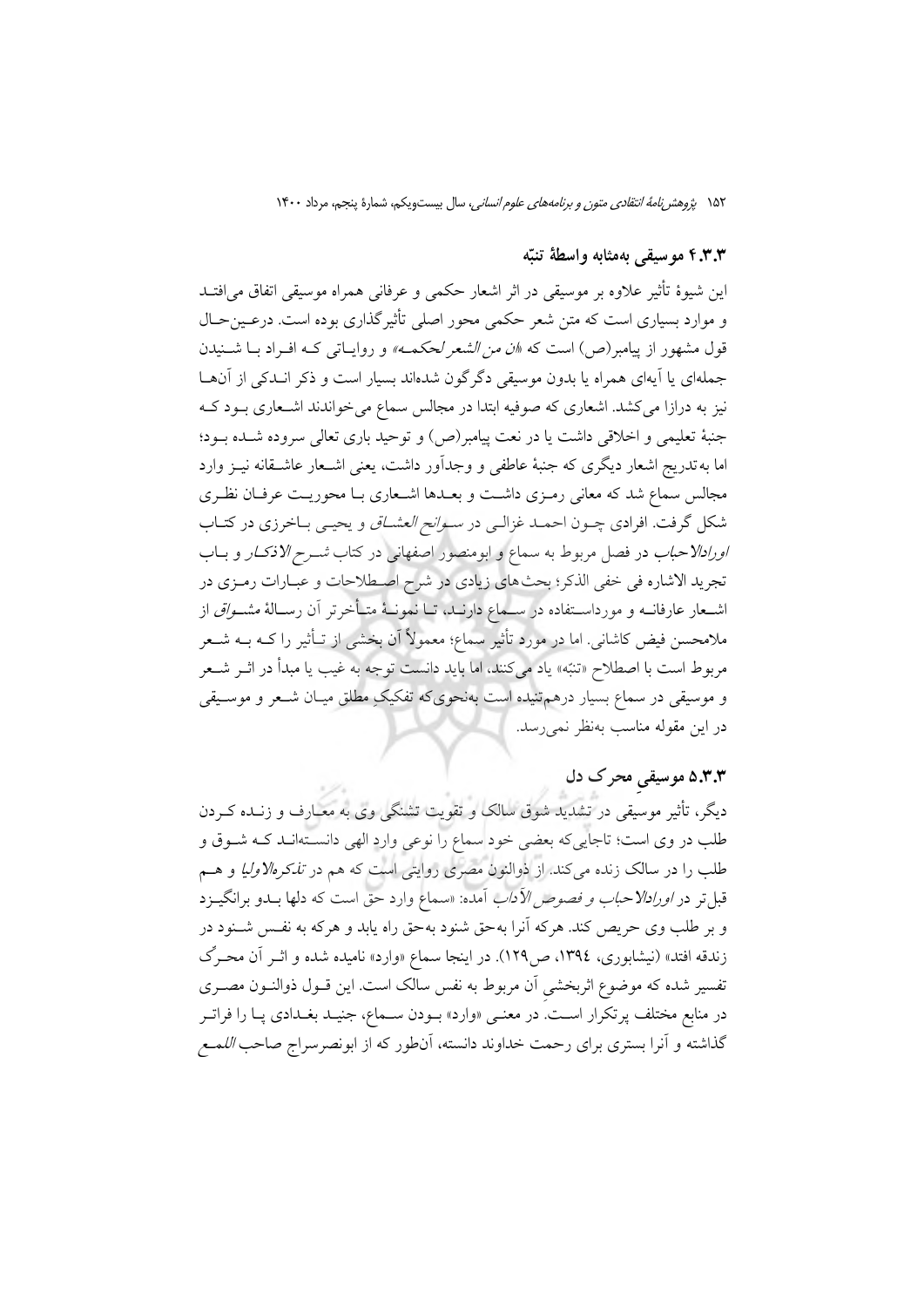#### ۴.۳.۳ موسیقی بهمثابه واسطهٔ تنبّه

اين شيوهٔ تأثير علاوه بر موسيقى در اثر اشعار حكمي و عرفاني همراه موسيقى اتفاق مى|فتــد و موارد بسیاری است که متن شعر حکمی محور اصلی تأثیرگذاری بوده است. درعــینحــال قول مشهور از پیامبر(ص) است که *«ن من الشعر لحکمـه»* و روایـاتی کـه افـراد بــا شــنیدن جملهای یا آیهای همراه یا بدون موسیقی دگر گون شدهاند بسیار است و ذکر انبدکی از آنها نیز به درازا میکشد. اشعاری که صوفیه ابتدا در مجالس سماع میخواندند اشـعاری بــود کــه جنبهٔ تعلیمی و اخلاقی داشت یا در نعت پیامبر(ص) و توحید باری تعالی سروده شــده بــود؛ اما به تدریج اشعار دیگری که جنبهٔ عاطفی و وجدآور داشت، یعنی اشـعار عاشـقانه نیــز وارد مجالس سماع شد که معانی رمـزی داشـت و بعـدها اشـعاری بـا محوریـت عرفـان نظـری شکل گرفت. افرادي چـون احمـد غزالـي در *سـوانح العشـاق و* يحيـي بـاخرزي در کتـاب *اورادالاحباب* در فصل مربوط به سماع و ابومنصور اصفهانی در کتاب *شـرح الاذکـار* و بــاب تجرید الاشاره فی خفی الذکر؛ بحثهای زیادی در شرح اصطلاحات و عبـارات رمـزی در اشـعار عارفانــه و مورداســتفاده در ســماع دارنــد، تــا نمونــهٔ متــأخرتر آن رســالهٔ *مشــواق* از ملامحسن فیض کاشانی. اما در مورد تأثیر سماع؛ معمولاً آن بخشی از تـأثیر را کــه بــه شــعر مربوط است با اصطلاح «تنبّه» ياد ميكنند، اما بايد دانست توجه به غيب يا مبدأ در اثــر شــعر و موسیقی در سماع بسیار درهم تنیده است بهنحویکه تفکیکِ مطلق میـان شـعر و موسـیقی در اين مقوله مناسب بهنظر نمي رسد.

#### ۵.۳.۳ موسیقی محرک دل

دیگر، تأثیر موسیقی در تشدید شوق سالک و تقویت تشنگی وی به معـارف و زنــده کــردن طلب در وی است؛ تاجاییکه بعضی خود سماع را نوعی وارد الهی دانسـتهانـد کـه شـوق و طلب را در سالک زنده میکند. از ذوالنون مصری روایتی است که هم در *تذکرهالاولیا و ه*ــم قبل تر در *اورادالاحباب و فصوص الأداب* آمده: «سماع وارد حق است كه دلها بــدو برانگيــزد و بر طلب وي حريص كند. هركه آنرا به حق شنود به حق راه يابد و هركه به نفـس شـنود در زندقه افتد» (نیشابوری، ۱۳۹٤، ص۱۲۹). در اینجا سماع «وارد» نامیده شده و اثـر آن محـرگ تفسیر شده که موضوع اثربخشی آن مربوط به نفس سالک است. این قــول ذوالنــون مصــری در منابع مختلف پرتکرار است. در معنــی «وارد» بــودن ســماع، جنیــد بغــدادی پــا را فراتــر گذاشته و آنرا بستری برای رحمت خداوند دانسته، آنطور که از ابونصرسراج صاحب *اللمع*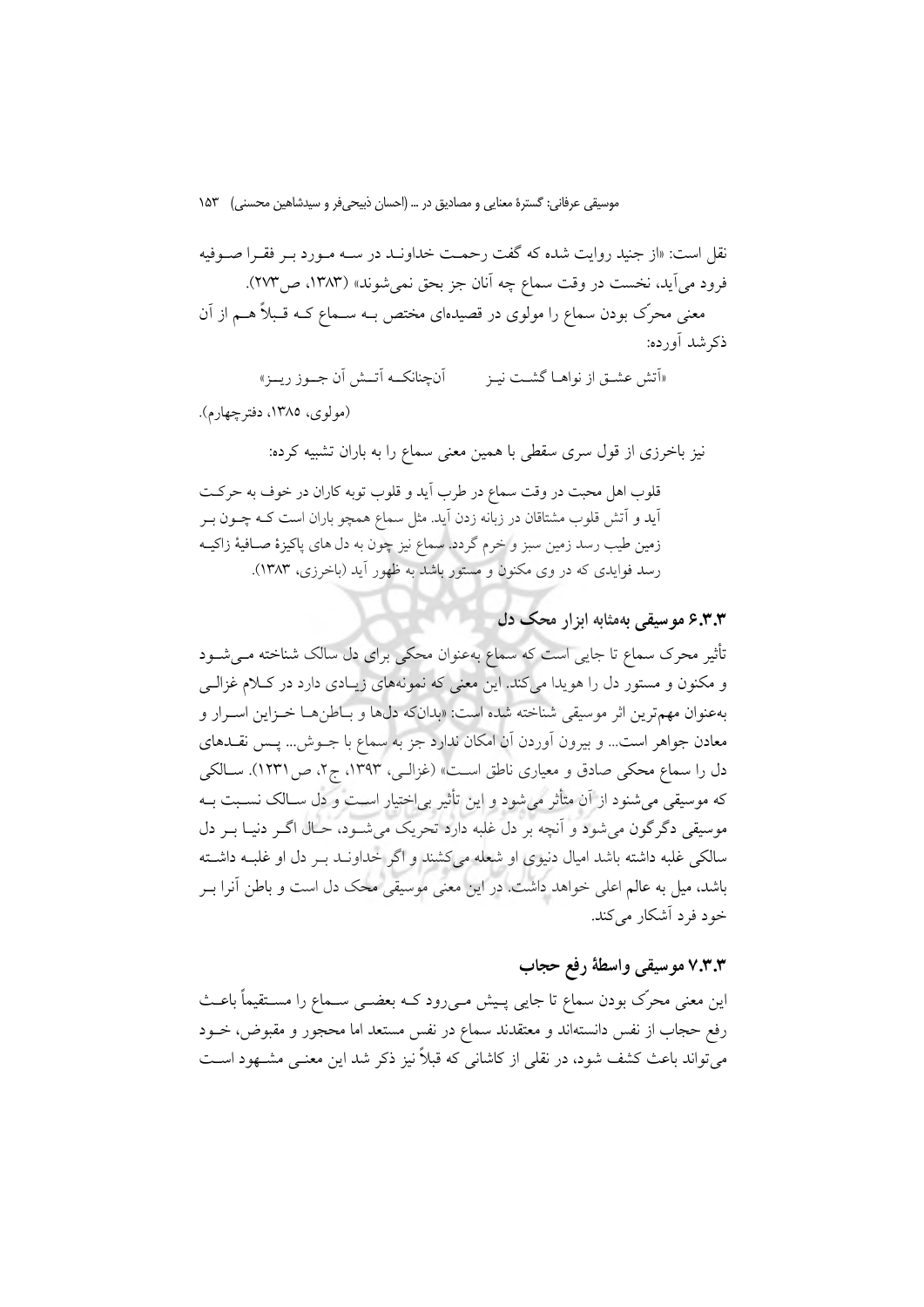موسيقى عرفاني: گسترهٔ معنايي و مصاديق در … (احسان ذبيحي فر و سيدشاهين محسني) ۱۵۳

نقل است: «از جنید روایت شده که گفت رحمـت خداونــد در ســه مــورد بــر فقــرا صــوفیه فرود مي آيد، نخست در وقت سماع چه آنان جز بحق نمي شوند» (١٣٨٣، ص٣٧٣). معنی محرّک بودن سماع را مولوی در قصیدهای مختص بـه ســماع کــه قــبلاً هــم از آن ذکرشد آورده:

آنچنانکــه آتــش آن جــوز ريــز» «اَتش عشـق از نواهـا گشـت نيـز

(مولوي، ١٣٨٥، دفترچهارم).

نیز باخرزی از قول سری سقطی با همین معنی سماع را به باران تشبیه کرده: قلوب اهل محبت در وقت سماع در طرب آيد و قلوب توبه كاران در خوف به حركت آید و آتش قلوب مشتاقان در زبانه زدن آید. مثل سماع همچو باران است کـه چــون بــر زمین طیب رسد زمین سبز و خرم گردد. سماع نیز چون به دل های پاکیزهٔ صـافیهٔ زاکیــه رسد فوایدی که در وی مکنون و مستور باشد به ظهور آید (باخرزی، ۱۳۸۳).

۶.۳.۳ موسیقی به مثابه ایزار محک دل

تأثیر محرک سماع تا جایی است که سماع بهعنوان محکی برای دل سالک شناخته مـی شــود و مکنون و مستور دل را هویدا میکند. این معنی که نمونههای زیـادی دارد در کـلام غزالـی بهعنوان مهمترين اثر موسيقى شناخته شده است: «بدانكه دلها و بـاطنهـا خـزاين اسـرار و معادن جواهر است... و بیرون آوردن آن امکان ندارد جز به سماع با جــوش... یــس نقــدهای دل را سماع محکي صادق و معياري ناطق است» (غزالـي، ١٣٩٣، ج٢، ص١٢٣١). ســالکي که موسیقی می شنود از آن متأثر می شود و این تأثیر بی اختیار است و دل ســالک نســبت بــه موسيقي دڳر گون مي شود و آنچه پر دل غلبه دارد تحريک مي شـود، حـال اڳـر دنيـا بـر دل سالکی غلبه داشته باشد امیال دنیوی او شعله می کشند و اگر خداونـد بـر دل او غلبـه داشـته باشد، میل به عالم اعلی خواهد داشت. در این معنی موسیقی محک دل است و باطن آنرا بـر خود فرد آشکار می کند.

٧.٣.٣ موسيقى واسطة رفع حجاب

این معنی محرّک بودن سماع تا جایی پـیش مـی(ود کــه بعضــی ســماع را مســتقیماً باعــث رفع حجاب از نفس دانستهاند و معتقدند سماع در نفس مستعد اما محجور و مقبوض، خــود میتواند باعث کشف شود، در نقلی از کاشانی که قبلاً نیز ذکر شد این معنــی مشــهود اســت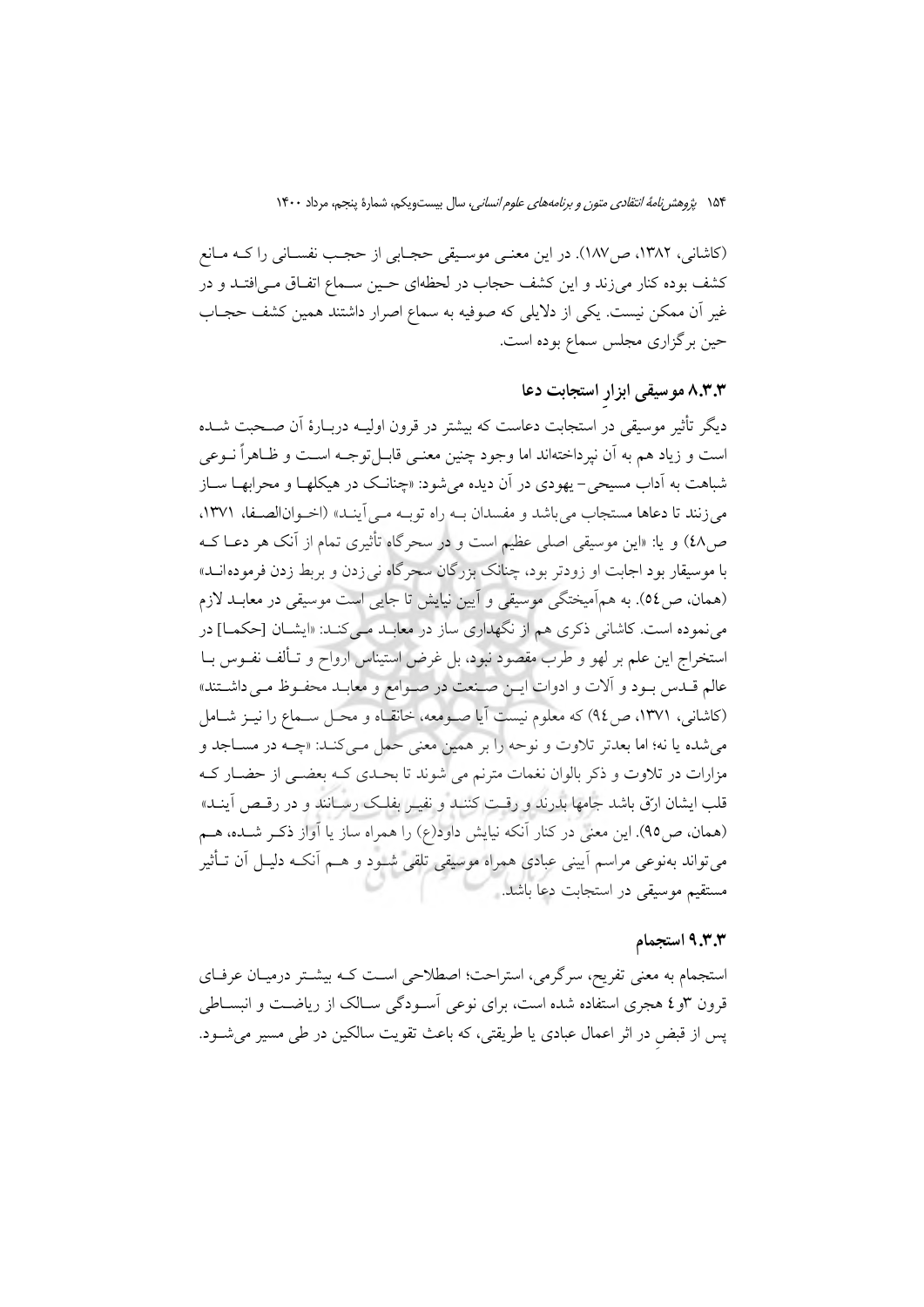(کاشانی، ۱۳۸۲، ص۱۸۷). در این معنبی موسیقی حجبابی از حجب نفستانی را ک) منانع کشف بوده کنار میزند و این کشف حجاب در لحظهای حـین سـماع اتفـاق مـیافتـد و در غیر آن ممکن نیست. یکی از دلایلی که صوفیه به سماع اصرار داشتند همین کشف حجـاب حین برگزاری مجلس سماع بوده است.

# ۸.۳.۳ موسیقی ابزار استجابت دعا

دیگر تأثیر موسیقی در استجابت دعاست که بیشتر در قرون اولیــه دربــارهٔ اَن صــحبت شــده است و زياد هم به آن نيرداختهاند اما وجود چنين معنــي قابــل توجــه اســت و ظــاهراً نــوعي شباهت به آداب مسیحی – یهودی در آن دیده می شود: «چنانـک در هیکلهـا و محرابهـا ســاز میزنند تا دعاها مستجاب میباشد و مفسدان بــه راه توبــه مــی آینــد» (اخــوانالصــفا، ۱۳۷۱. ص4) و یا: «این موسیقی اصلی عظیم است و در سحرگاه تأثیری تمام از آنک هر دعــا کــه با موسیقار بود اجابت او زودتر بود، چنانک بزرگان سحرگاه ن<sub>می</sub>زدن و بربط زدن فرموده انـــد» (همان، ص٤٥). به همأميختگي موسيقي و أيين نيايش تا جايي است موسيقي در معابـد لازم مینموده است. کاشان<sub>ی</sub> ذکری هم از نگهداری ساز در معابـد مـیکنـد: «ایشـان [حکمـا] در استخراج این علم بر لهو و طرب مقصود نبود، بل غرض استیناس ارواح و تـألف نفـوس بـا عالم قـدس بـود و ألات و ادوات ايـن صـنعت در صـوامع و معابـد محفـوظ مـى داشـتند» (کاشانی، ۱۳۷۱، ص۹٤) که معلوم نیست آیا صـومعه، خانقـاه و محـل سـماع را نیــز شــامل می شده یا نه؛ اما بعدتر تلاوت و نوحه را بر همین معنی حمل مـیکنـد: «چـه در مســاجد و مزارات در تلاوت و ذکر بالوان نغمات مترنم می شوند تا بحـدی کـه بعضـی از حضـار کـه قلب ایشان ارتق باشد جامها بدرند و رقت کننـد و نفیـر بفلـک رسـانند و در رقـص آینـد» (همان، ص٩٥). اين معنى در كنار آنكه نيايش داود(ع) را همراه ساز يا آواز ذكـر شـده، هـم میتواند بهنوعی مراسم آیینی عبادی همراه موسیقی تلقی شـود و هــم آنکــه دلیــل آن تــأثیر مستقيم موسيقى در استجابت دعا باشد.

#### ۹.۳.۳ استجمام

استجمام به معنی تفریح، سرگرمی، استراحت؛ اصطلاحی اسـت کـه بیشـتر درمیـان عرفـای قرون ۳و ٤ هجری استفاده شده است، برای نوعی آسـودگی سـالک از ریاضــت و انبســاطی پس از قبض در اثر اعمال عبادی یا طریقتی، که باعث تقویت سالکین در طی مسیر می شود.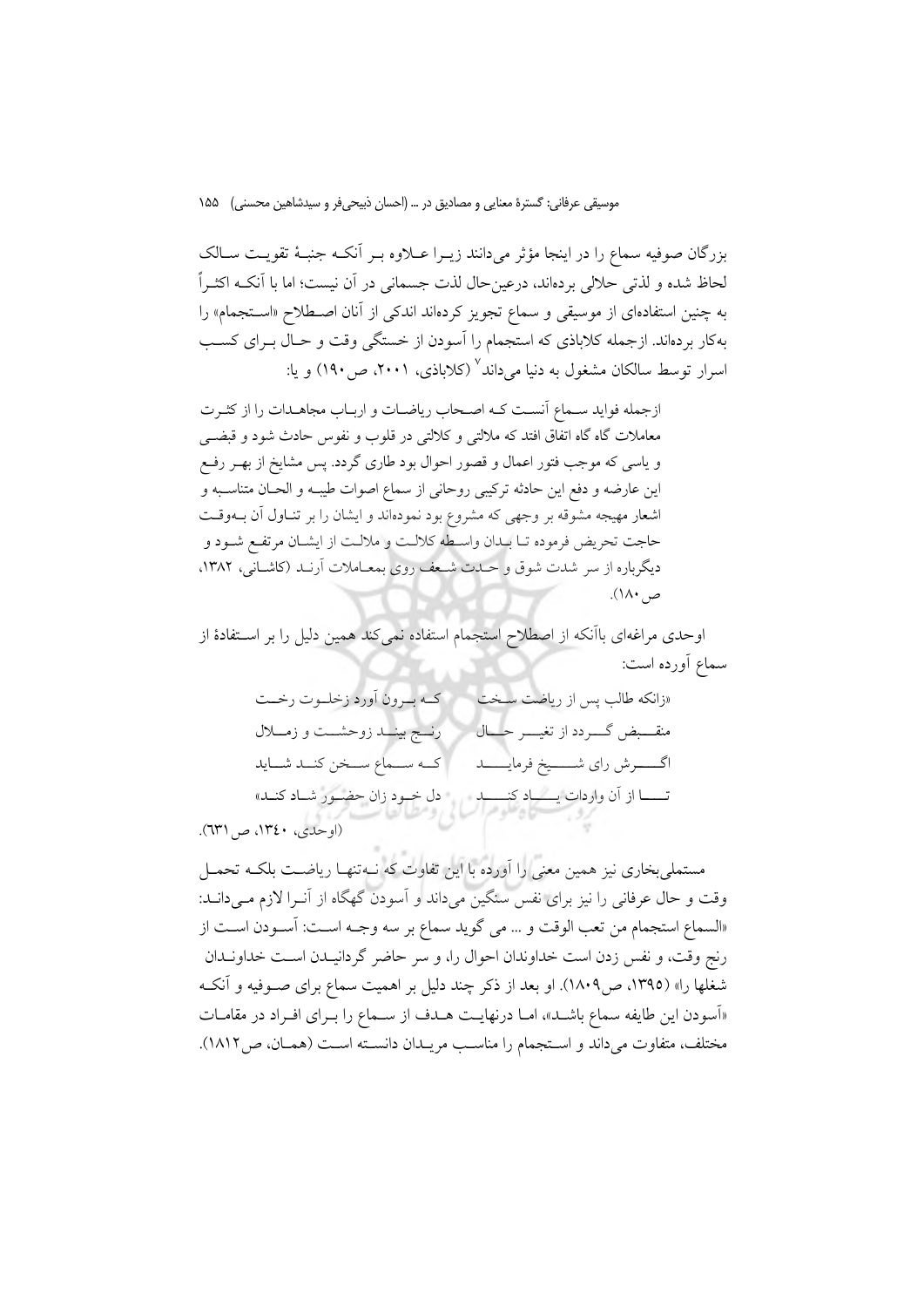موسيقى عرفاني: گسترهٔ معنايي و مصاديق در … (احسان ذبيحيفر و سيدشاهين محسني) ۱۵۵

بزرگان صوفیه سماع را در اینجا مؤثر میدانند زیـرا عــلاوه بـر آنکـه جنبـهٔ تقویـت ســالک لحاظ شده و لذتی حلالی بردهاند، درعینحال لذت جسمانی در اَن نیست؛ اما با اَنکـه اکثــراً به چنین استفادهای از موسیقی و سماع تجویز کردهاند اندکی از آنان اصطلاح «استجمام» را بهکار بردهاند. ازجمله کلاباذی که استجمام را اَسودن از خستگی وقت و حـال بـرای کسـب اسرار توسط سالکان مشغول به دنیا میداند<sup>۷</sup> (کلاباذی، ۲۰۰۱، ص۱۹۰) و یا:

ازجمله فوايد سـماع أنسـت كـه اصـحاب رياضـات و اربـاب مجاهـدات را از كثـرت معاملات گاه گاه اتفاق افتد که ملالتی و کلالتی در قلوب و نفوس حادث شود و قبضبی و یاسی که موجب فتور اعمال و قصور احوال بود طاری گردد. پس مشایخ از بهـر رفـع این عارضه و دفع این حادثه ترکیبی روحانی از سماع اصوات طیبـه و الحــان متناسـبه و اشعار مهیجه مشوقه بر وجهی که مشروع بود نمودهاند و ایشان را بر تنـاول آن بــهوقـت حاجت تحريض فرموده تــا بــدان واســطه كلالــت و ملالــت از ايشــان مرتفــع شــود و دیگرباره از سر شدت شوق و حـدت شـعف روی بمعـاملات آرنـد (کاشـانی، ۱۳۸۲. ص ۱۸۰).

اوحدی مراغهای باآنکه از اصطلاح استجمام استفاده نمی کند همین دلیل را بر اسـتفادهٔ از سماع أورده است:

كه بهرون أورد زخلوت رخت «زانکه طالب پس از ریاضت سـخت رنسج بينـــد زوحشـــت و زمـــلال منقسبض گسردد از تغیسر حسال اگـــــــــرش راي شــــــــيخ فرمايـــــــــد كه سهاع سخن كند شايد تــا از آن واردات يـــاد كنــــد من دل خـود زان حضـور شـاد كنـد» (اوحدی، ۱۳٤۰، ص (٦٣١).

مستملی بخاری نیز همین معنی را آورده با این تفاوت که نـهتنهـا ریاضـت بلکـه تحمـل وقت و حال عرفانی را نیز برای نفس سنگین میداند و آسودن گهگاه از آنـرا لازم مـیدانــد: «السماع استجمام من تعب الوقت و … مي گويد سماع بر سه وجـه اسـت: آسـودن اسـت از رنج وقت، و نفس زدن است خداوندان احوال را، و سر حاضر گردانیـدن اسـت خداونـدان شغلها را» (١٣٩٥، ص١٨٠٩). او بعد از ذكر چند دليل بر اهميت سماع براي صـوفيه و آنكـه «آسودن این طایفه سماع باشـد»، امـا درنهایـت هـدف از سـماع را بـرای افـراد در مقامـات مختلف، متفاوت مي داند و استجمام را مناسب مريـدان دانسـته اسـت (همـان، ص١٨١٢).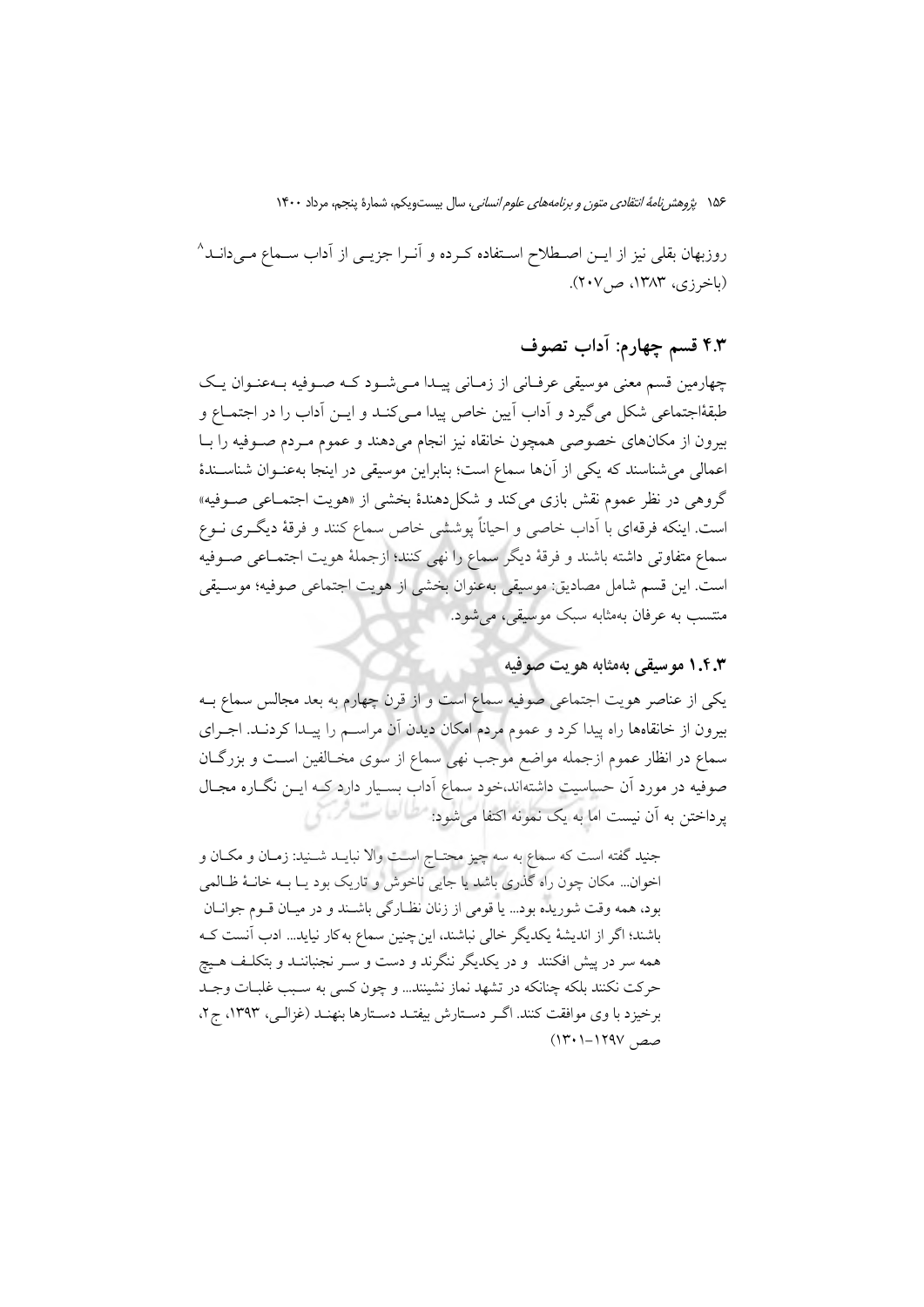روزبهان بقلی نیز از ایــن اصــطلاح اســتفاده کــرده و آنــرا جزیــی از آداب ســماع مــیدانــد^ (باخرزي، ١٣٨٣، ص٢٠٧).

# ۴.۳ قسم چهارم: آداب تصوف

چهارمین قسم معنی موسیقی عرفانی از زمانی پیدا می شود کـه صـوفیه بـهعنـوان یـک طبقهٔاجتماعی شکل میگیرد و اّداب اّیین خاص پیدا مـیکنـد و ایــن اّداب را در اجتمــاع و بیرون از مکانهای خصوصی همچون خانقاه نیز انجام میدهند و عموم مـردم صـوفیه را بـا اعمالي مي شناسند كه يكي از آنها سماع است؛ بنابراين موسيقى در اينجا بهعنـوان شناسـندهٔ گروهي در نظر عموم نقش بازي مي كند و شكل دهندهٔ بخشي از «هويت اجتمــاعي صــوفيه» است. اینکه فرقهای با اَداب خاصی و احیاناً پوششی خاص سماع کنند و فرقهٔ دیگـری نــوع سماع متفاوتی داشته باشند و فرقهٔ دیگر سماع را نهی کنند؛ ازجملهٔ هویت اجتمــاعی صــوفیه است. اين قسم شامل مصاديق: موسيقى بهعنوان بخشى از هويت اجتماعي صوفيه؛ موسـيقى منتسب به عرفان بهمثابه سبک موسیقی، می شود.

#### **۱.۴.۳ موسیقی بهمثابه هویت صوفیه**

یکی از عناصر هویت اجتماعی صوفیه سماع است و از قرن چهارم به بعد مجالس سماع بــه بیرون از خانقاهها راه پیدا کرد و عموم مردم امکان دیدن آن مراسـم را پیـدا کردنـد. اجـرای سماع در انظار عموم ازجمله مواضع موجب نهى سماع از سوى مخـالفين اسـت و بزرگـان صوفیه در مورد آن حساسیت داشتهاند،خود سماع آداب بسـیار دارد کــه ایــن نگــاره مجــال پرداختن به آن نیست اما به یک نمونه اکتفا میشود: مطالعات کرکی

جنيد گفته است كه سماع به سه چيز محتـاج اسـت والا نبايــد شــنيد: زمــان و مكــان و اخوان... مكان چون راه گذري باشد يا جايي ناخوش و تاريک بود يـا بـه خانـۀ ظـالمي بود، همه وقت شوريده بود... يا قومي از زنان نظـارگي باشـند و در ميـان قـوم جوانـان باشند؛ اگر از اندیشهٔ یکدیگر خالی نباشند، این چنین سماع به کار نیاید... ادب آنست ک همه سر در پیش افکنند و در یکدیگر ننگرند و دست و سـر نجنباننــد و بتکلـف هــیچ حركت نكنند بلكه چنانكه در تشهد نماز نشينند... و چون كسى به سـبب غلبـات وجـد برخیزد با وی موافقت کنند. اگر دستارش بیفتـد دسـتارها بنهنـد (غزالـی، ۱۳۹۳، ج۲،  $(11 - 1191)$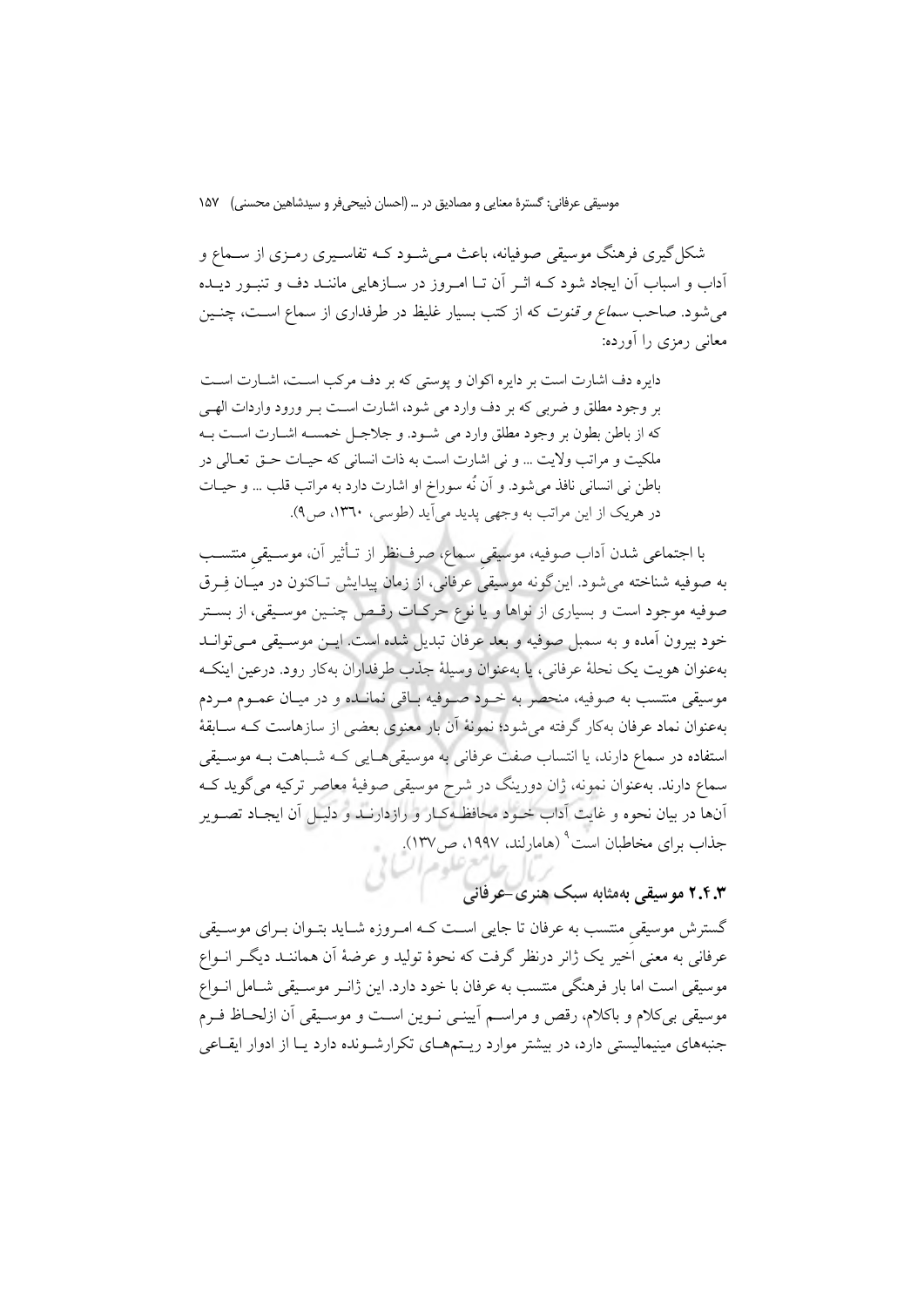موسيقى عرفاني: گسترهٔ معنايي و مصاديق در … (احسان ذبيحي فر و سيدشاهين محسني) ۱۵۷

شکل گیری فرهنگ موسیقی صوفیانه، باعث مـی شــود کــه تفاســیری رمــزی از ســماع و آداب و اسباب آن ایجاد شود کـه اثـر آن تـا امـروز در ســازهایی ماننـد دف و تنبـور دیـده می شود. صاحب *سماع و قنوت* که از کتب بسیار غلیظ در طرفداری از سماع اسـت، چنـین معانی رمزی را آورده:

دایره دف اشارت است بر دایره اکوان و پوستی که بر دف مرکب است، اشارت است بر وجود مطلق و ضربي كه بر دف وارد مي شود، اشارت است بـر ورود واردات الهـي كه از باطن بطون بر وجود مطلق وارد مى شـود. و جلاجـل خمســه اشــارت اســت بــه ملکیت و مراتب ولایت … و نی اشارت است به ذات انسانی که حیـات حـق تعـالی در باطن ني انساني نافذ مي شود. و آن نُه سوراخ او اشارت دارد به مراتب قلب … و حيــات در هريک از اين مراتب به وجهي پديد مي آيد (طوسي، ١٣٦٠، ص٩).

با اجتماعی شدن آداب صوفیه، موسیقی سماع، صرفنظر از تــأثیر آن، موســیقیِ منتســب به صوفیه شناخته می شود. این گونه موسیقی عرفانی، از زمان پیدایش تـاکنون در میـان فِـرق صوفيه موجود است و بسياري از نواها و يا نوع حركـات رقـص چنـين موسـيقى، از بســتر خود بيرون آمده و به سمبل صوفيه و بعد عرفان تبديل شده است. ايــن موســيقى مــي توانــد بهعنوان هويت يک نحلهٔ عرفاني، يا بهعنوان وسيلهٔ جذب طرفداران بهکار رود. درعين اينکـه موسيقى منتسب به صوفيه، منحصر به خـود صـوفيه بـاقى نمانـده و در ميـان عمـوم مـردم بهعنوان نماد عرفان بهكار گرفته می شود؛ نمونهٔ آن بار معنوی بعضی از سازهاست كـه ســابقهٔ استفاده در سماع دارند، يا انتساب صفت عرفاني به موسيقي هـايي كـه شـباهت بـه موسـيقى سماع دارند. بهعنوان نمونه، ژان دورینگ در شرح موسیقی صوفیهٔ معاصر ترکیه می گوید ک آنها در بیان نحوه و غایت آداب خـود محافظـهکـار و رازدارنــد و دلیــل آن ایجـاد تصــویر جذاب برای مخاطبان است<sup>۹</sup> (هامارلند، ۱۹۹۷، ص۱۳۷).

# ۲.۴.۳ موسیقی بهمثابه سبک هنری حوفانی<br>۶ - - -

گسترش موسیقی منتسب به عرفان تا جایبی است کـه امـروزه شـاید بتـوان بـرای موسـیقی عرفانی به معنی اخیر یک ژانر درنظر گرفت که نحوهٔ تولید و عرضهٔ آن هماننـد دیگــر انــواع موسیقی است اما بار فرهنگی منتسب به عرفان با خود دارد. این ژانـر موسـیقی شـامل انـواع موسیقی بیکلام و باکلام، رقص و مراســم اَیینــی نــوین اســت و موســیقی اَن ازلحــاظ فــرَم جنبههای مینیمالیستی دارد، در بیشتر موارد ریـتمهـای تکرارشـونده دارد یـا از ادوار ایقـاعی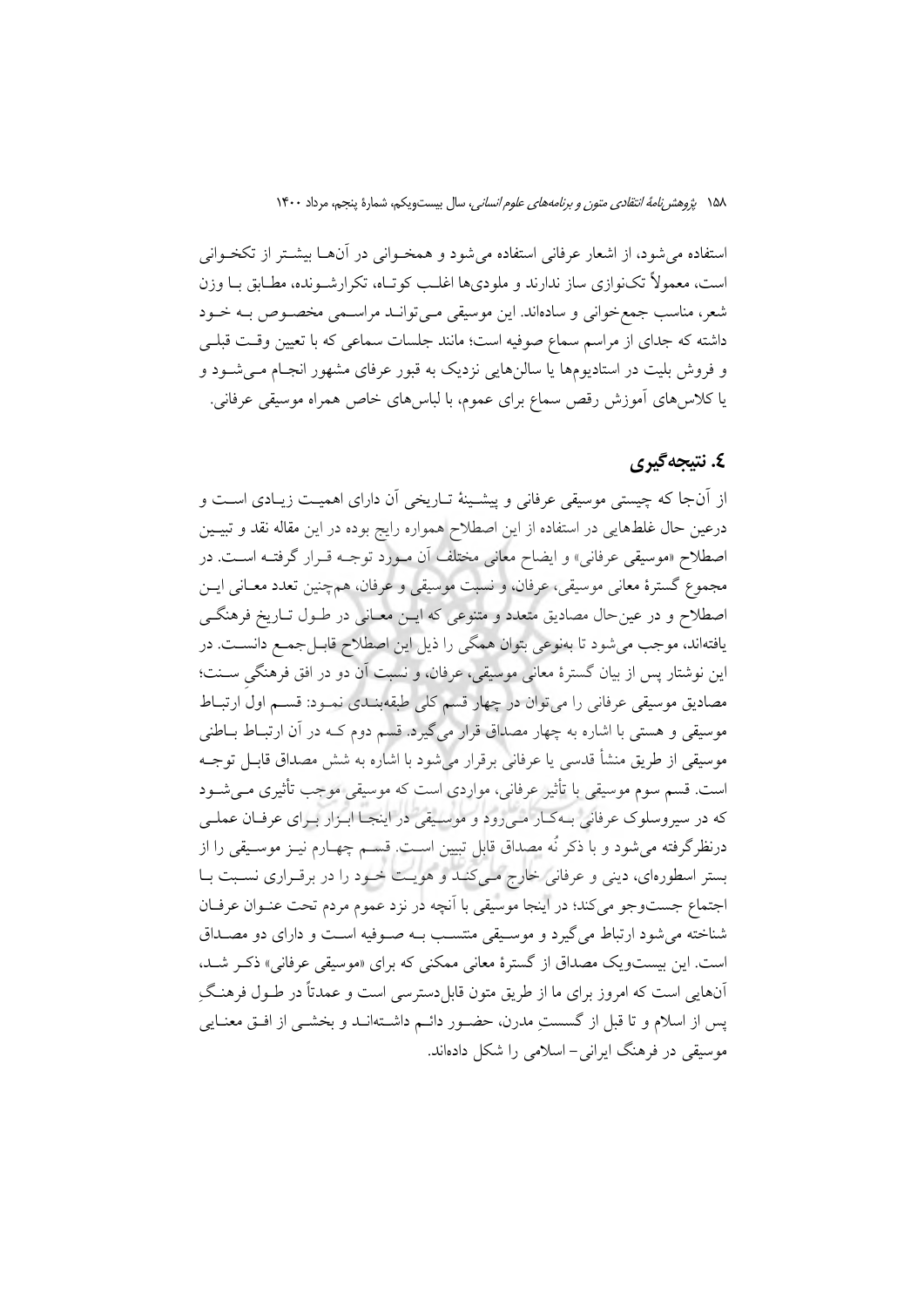استفاده می شود، از اشعار عرفانی استفاده می شود و همخـوانی در آنهــا بیشــتر از تکخــوانی است، معمولاً تکنوازی ساز ندارند و ملودیها اغلب کوتـاه، تکرارشــونده، مطـابق بــا وزن شعر، مناسب جمع خوانی و سادهاند. این موسیقی مـیتوانـد مراسـمی مخصـوص بـه خـود داشته که جدای از مراسم سماع صوفیه است؛ مانند جلسات سماعی که با تعیین وقت قبلـی و فروش بلیت در استادیومها یا سالنهایی نزدیک به قبور عرفای مشهور انجـام مـیشـود و یا کلاس۵های اَموزش رقص سماع برای عموم، با لباسهای خاص همراه موسیقی عرفانی.

## ٤. نتيجه گيري

از اّنجا که چیستی موسیقی عرفانی و پیشـینهٔ تـاریخی اّن دارای اهمیـت زیـادی اسـت و درعین حال غلطهایی در استفاده از این اصطلاح همواره رایج بوده در این مقاله نقد و تبیــین اصطلاح «موسیقی عرفانی» و ایضاح معانی مختلف آن مـورد توجــه قـرار گرفتــه اســت. در مجموع گسترهٔ معانی موسیقی، عرفان، و نسبت موسیقی و عرفان، همچنین تعدد معـانی ایــن اصطلاح و در عین حال مصادیق متعدد و متنوعی که ایــن معــانی در طــول تــاریخ فرهنگــی ۔<br>یافتهاند، موجب میشود تا بهنوعی بتوان همگی را ذیل این اصطلاح قابـل<مـع دانســت. در این نوشتار پس از بیان گسترهٔ معانی موسیقی، عرفان، و نسبت آن دو در افق فرهنگی سـنت؛ مصادیق موسیقی عرفانی را می توان در چهار قسم کل<sub>ی</sub> طبقهبنــدی نمــود: قســم اولَ ارتبــاط موسیقی و هستی با اشاره به چهار مصداق قرار میگیرد. قسم دوم کـه در آن ارتبـاط بــاطنی موسیقی از طریق منشأ قدسی یا عرفانی برقرار می شود با اشاره به شش مصداق قابـل توجـه است. قسم سوم موسیقی با تأثیر عرفانی، مواردی است که موسیقی موجب تأثیری مے شــود که در سیروسلوک عرفانی بـهکـار مـی(ود و موسـیقی در اینجـا ابـزار بـرای عرفـان عملـی درنظرگرفته می شود و با ذکر نُه مصداق قابل تبیین اسـت. قســم چهــارم نیــز موســیقی را از بستر اسطورهای، دینی و عرفانی خارج مـیکنـد و هویـت خـود را در برقـراری نسـبت بـا اجتماع جستوجو مي كند؛ در اينجا موسيقى با آنچه در نزد عموم مردم تحت عنـوان عرفـان شناخته می شود ارتباط می گیرد و موسیقی منتسب بـه صـوفیه اسـت و دارای دو مصـداق است. این بیستویک مصداق از گسترهٔ معانی ممکنی که برای «موسیقی عرفانی» ذکـر شـد. آنهایی است که امروز برای ما از طریق متون قابلدسترسی است و عمدتاً در طـول فرهنـگِ پس از اسلام و تا قبل از گسستِ مدرن، حضـور دائـم داشـتهانــد و بخشــی از افــق معنــایی موسیقی در فرهنگ ایرانی–اسلامی را شکل دادهاند.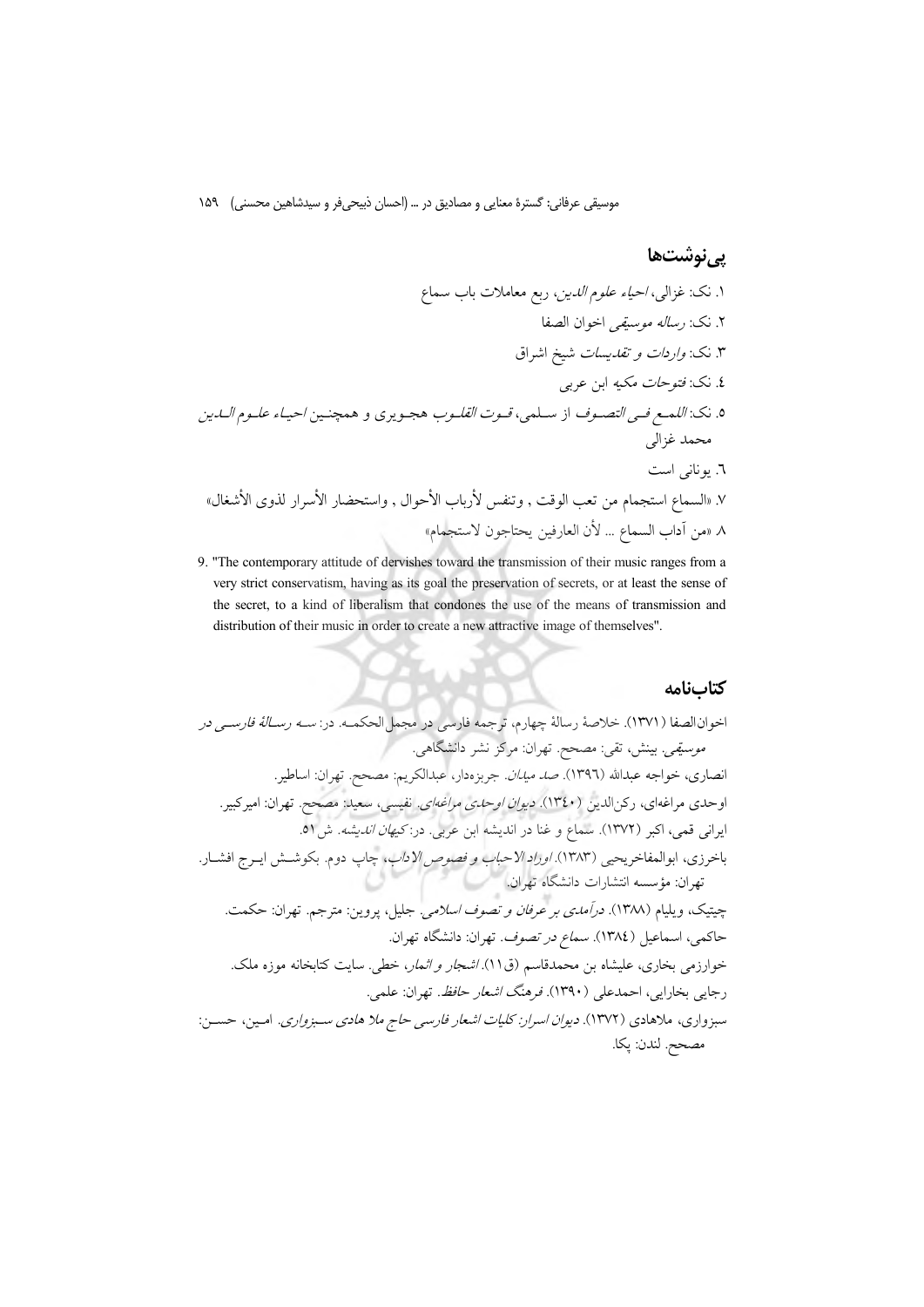موسیقی عرفانی: گسترهٔ معنایی و مصادیق در … (احسان ذبیحیفر و سیدشاهین محسنی) ۱۵۹

# پىنوشتھا

9. "The contemporary attitude of dervishes toward the transmission of their music ranges from a very strict conservatism, having as its goal the preservation of secrets, or at least the sense of the secret, to a kind of liberalism that condones the use of the means of transmission and distribution of their music in order to create a new attractive image of themselves".

### كتابنامه